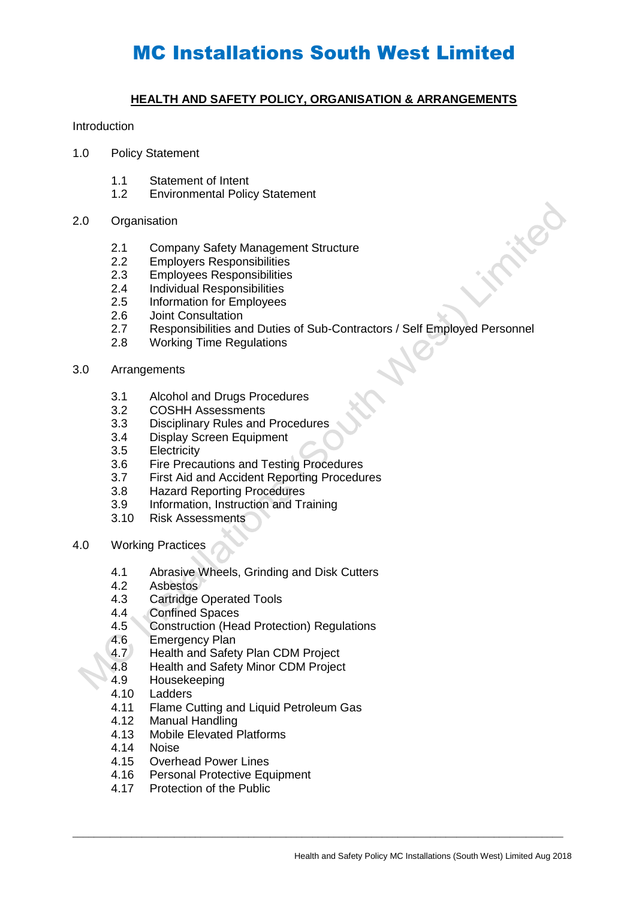### **HEALTH AND SAFETY POLICY, ORGANISATION & ARRANGEMENTS**

#### Introduction

- 1.0 Policy Statement
	- 1.1 Statement of Intent<br>1.2 Environmental Polic
	- **Environmental Policy Statement**

#### 2.0 Organisation

- 2.1 Company Safety Management Structure
- 2.2 Employers Responsibilities<br>2.3 Employees Responsibilities
- **Employees Responsibilities**
- 2.4 Individual Responsibilities<br>2.5 Information for Employees
- 2.5 Information for Employees
- 2.6 Joint Consultation
- 2.7 Responsibilities and Duties of Sub-Contractors / Self Employed Personnel
- 2.8 Working Time Regulations
- 3.0 Arrangements
	- 3.1 Alcohol and Drugs Procedures
	- 3.2 COSHH Assessments
	- 3.3 Disciplinary Rules and Procedures
	- 3.4 Display Screen Equipment
	- 3.5 Electricity
	- 3.6 Fire Precautions and Testing Procedures
	- 3.7 First Aid and Accident Reporting Procedures
	- 3.8 Hazard Reporting Procedures
	- 3.9 Information, Instruction and Training
	- 3.10 Risk Assessments
- 4.0 Working Practices
	- 4.1 Abrasive Wheels, Grinding and Disk Cutters
	- 4.2 Asbestos
	- 4.3 Cartridge Operated Tools
	- 4.4 Confined Spaces
	- 4.5 Construction (Head Protection) Regulations
	- 4.6 Emergency Plan<br>4.7 Health and Safet
	- Health and Safety Plan CDM Project
	- 4.8 Health and Safety Minor CDM Project
	- 4.9 Housekeeping
	- 4.10 Ladders
	- 4.11 Flame Cutting and Liquid Petroleum Gas<br>4.12 Manual Handling

 $\_$  ,  $\_$  ,  $\_$  ,  $\_$  ,  $\_$  ,  $\_$  ,  $\_$  ,  $\_$  ,  $\_$  ,  $\_$  ,  $\_$  ,  $\_$  ,  $\_$  ,  $\_$  ,  $\_$  ,  $\_$  ,  $\_$  ,  $\_$  ,  $\_$  ,  $\_$  ,  $\_$  ,  $\_$  ,  $\_$  ,  $\_$  ,  $\_$  ,  $\_$  ,  $\_$  ,  $\_$  ,  $\_$  ,  $\_$  ,  $\_$  ,  $\_$  ,  $\_$  ,  $\_$  ,  $\_$  ,  $\_$  ,  $\_$  ,

- Manual Handling
- 4.13 Mobile Elevated Platforms
- 4.14 Noise
- 4.15 Overhead Power Lines<br>4.16 Personal Protective Equ
- Personal Protective Equipment
- 4.17 Protection of the Public

**HEO**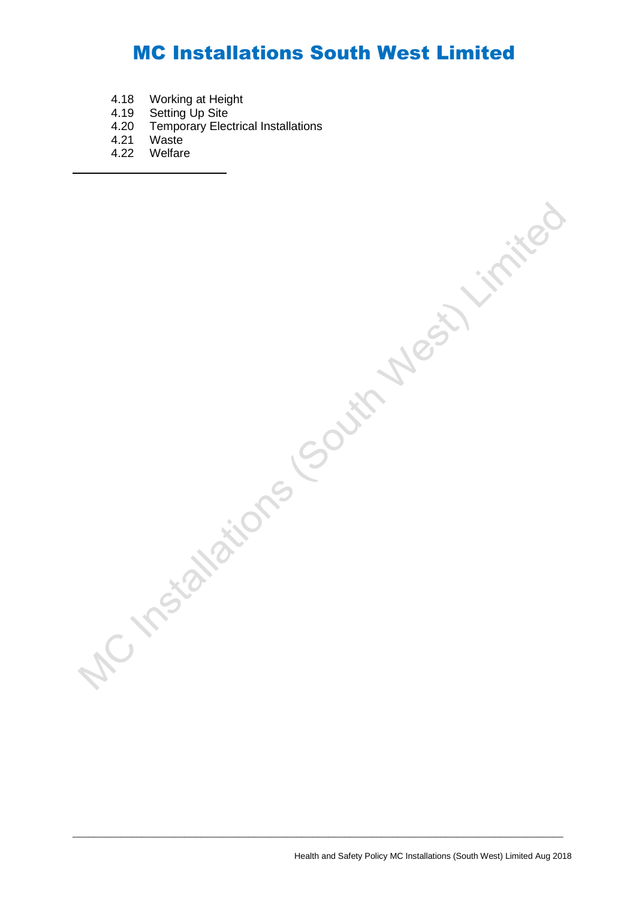- 4.18 Working at Height
- 4.19 Setting Up Site
- 4.20 Temporary Electrical Installations
- 4.21 Waste
- 4.22 Welfare

Health and Safety Policy MC Installations (South West) Limited Aug 2018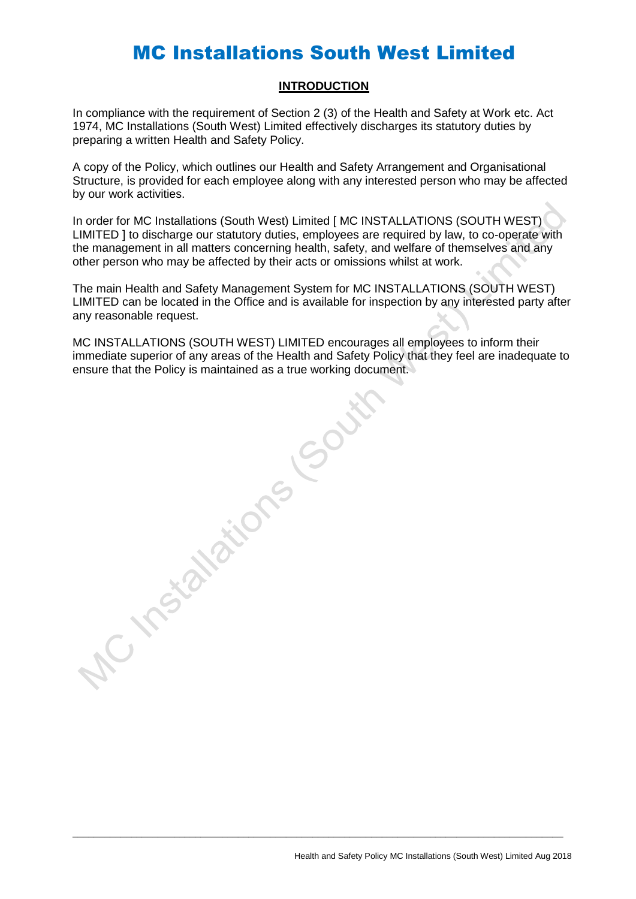#### **INTRODUCTION**

In compliance with the requirement of Section 2 (3) of the Health and Safety at Work etc. Act 1974, MC Installations (South West) Limited effectively discharges its statutory duties by preparing a written Health and Safety Policy.

A copy of the Policy, which outlines our Health and Safety Arrangement and Organisational Structure, is provided for each employee along with any interested person who may be affected by our work activities.

In order for MC Installations (South West) Limited [ MC INSTALLATIONS (SOUTH WEST) LIMITED ] to discharge our statutory duties, employees are required by law, to co-operate with the management in all matters concerning health, safety, and welfare of themselves and any other person who may be affected by their acts or omissions whilst at work.

The main Health and Safety Management System for MC INSTALLATIONS (SOUTH WEST) LIMITED can be located in the Office and is available for inspection by any interested party after any reasonable request.

MC INSTALLATIONS (SOUTH WEST) LIMITED encourages all employees to inform their immediate superior of any areas of the Health and Safety Policy that they feel are inadequate to ensure that the Policy is maintained as a true working document. C. Installations codumn

 $\_$  ,  $\_$  ,  $\_$  ,  $\_$  ,  $\_$  ,  $\_$  ,  $\_$  ,  $\_$  ,  $\_$  ,  $\_$  ,  $\_$  ,  $\_$  ,  $\_$  ,  $\_$  ,  $\_$  ,  $\_$  ,  $\_$  ,  $\_$  ,  $\_$  ,  $\_$  ,  $\_$  ,  $\_$  ,  $\_$  ,  $\_$  ,  $\_$  ,  $\_$  ,  $\_$  ,  $\_$  ,  $\_$  ,  $\_$  ,  $\_$  ,  $\_$  ,  $\_$  ,  $\_$  ,  $\_$  ,  $\_$  ,  $\_$  ,

Health and Safety Policy MC Installations (South West) Limited Aug 2018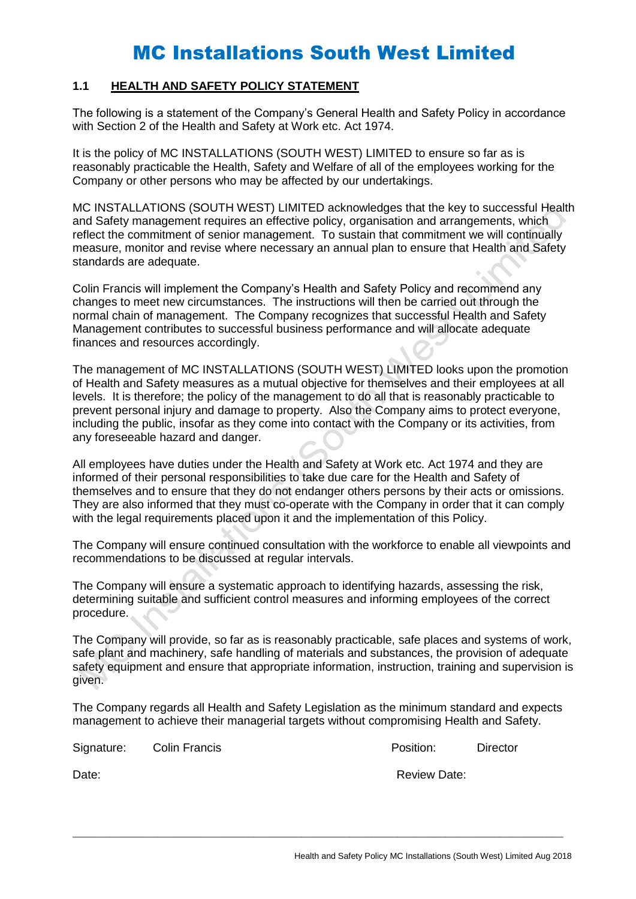### **1.1 HEALTH AND SAFETY POLICY STATEMENT**

The following is a statement of the Company's General Health and Safety Policy in accordance with Section 2 of the Health and Safety at Work etc. Act 1974.

It is the policy of MC INSTALLATIONS (SOUTH WEST) LIMITED to ensure so far as is reasonably practicable the Health, Safety and Welfare of all of the employees working for the Company or other persons who may be affected by our undertakings.

MC INSTALLATIONS (SOUTH WEST) LIMITED acknowledges that the key to successful Health and Safety management requires an effective policy, organisation and arrangements, which reflect the commitment of senior management. To sustain that commitment we will continually measure, monitor and revise where necessary an annual plan to ensure that Health and Safety standards are adequate.

Colin Francis will implement the Company's Health and Safety Policy and recommend any changes to meet new circumstances. The instructions will then be carried out through the normal chain of management. The Company recognizes that successful Health and Safety Management contributes to successful business performance and will allocate adequate finances and resources accordingly.

The management of MC INSTALLATIONS (SOUTH WEST) LIMITED looks upon the promotion of Health and Safety measures as a mutual objective for themselves and their employees at all levels. It is therefore; the policy of the management to do all that is reasonably practicable to prevent personal injury and damage to property. Also the Company aims to protect everyone, including the public, insofar as they come into contact with the Company or its activities, from any foreseeable hazard and danger.

All employees have duties under the Health and Safety at Work etc. Act 1974 and they are informed of their personal responsibilities to take due care for the Health and Safety of themselves and to ensure that they do not endanger others persons by their acts or omissions. They are also informed that they must co-operate with the Company in order that it can comply with the legal requirements placed upon it and the implementation of this Policy.

The Company will ensure continued consultation with the workforce to enable all viewpoints and recommendations to be discussed at regular intervals.

The Company will ensure a systematic approach to identifying hazards, assessing the risk, determining suitable and sufficient control measures and informing employees of the correct procedure.

The Company will provide, so far as is reasonably practicable, safe places and systems of work, safe plant and machinery, safe handling of materials and substances, the provision of adequate safety equipment and ensure that appropriate information, instruction, training and supervision is given.

The Company regards all Health and Safety Legislation as the minimum standard and expects management to achieve their managerial targets without compromising Health and Safety.

 $\_$  ,  $\_$  ,  $\_$  ,  $\_$  ,  $\_$  ,  $\_$  ,  $\_$  ,  $\_$  ,  $\_$  ,  $\_$  ,  $\_$  ,  $\_$  ,  $\_$  ,  $\_$  ,  $\_$  ,  $\_$  ,  $\_$  ,  $\_$  ,  $\_$  ,  $\_$  ,  $\_$  ,  $\_$  ,  $\_$  ,  $\_$  ,  $\_$  ,  $\_$  ,  $\_$  ,  $\_$  ,  $\_$  ,  $\_$  ,  $\_$  ,  $\_$  ,  $\_$  ,  $\_$  ,  $\_$  ,  $\_$  ,  $\_$  ,

Signature: Colin Francis **Position:** Director

Date: **Note:** Review Date: **Review Date: Review Date: Review Date: Review Date: Review Date: Review Date: Review Date: Review Date: Review Date: Review Date: Review Date: Review Date: Review Date:**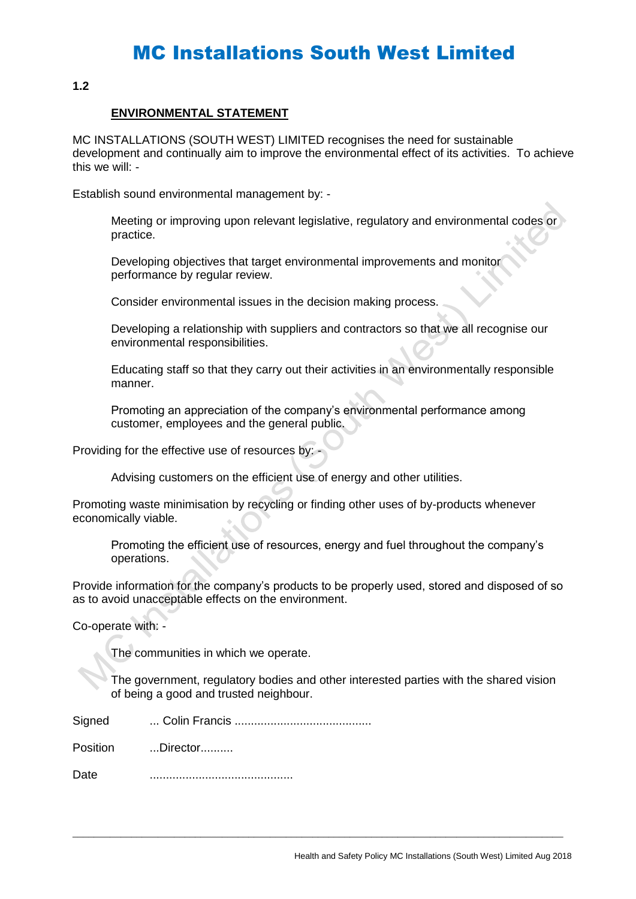**1.2**

#### **ENVIRONMENTAL STATEMENT**

MC INSTALLATIONS (SOUTH WEST) LIMITED recognises the need for sustainable development and continually aim to improve the environmental effect of its activities. To achieve this we will: -

Establish sound environmental management by: -

Meeting or improving upon relevant legislative, regulatory and environmental codes or practice.

Developing objectives that target environmental improvements and monitor performance by regular review.

Consider environmental issues in the decision making process.

Developing a relationship with suppliers and contractors so that we all recognise our environmental responsibilities.

Educating staff so that they carry out their activities in an environmentally responsible manner.

Promoting an appreciation of the company's environmental performance among customer, employees and the general public.

Providing for the effective use of resources by: -

Advising customers on the efficient use of energy and other utilities.

Promoting waste minimisation by recycling or finding other uses of by-products whenever economically viable.

Promoting the efficient use of resources, energy and fuel throughout the company's operations.

Provide information for the company's products to be properly used, stored and disposed of so as to avoid unacceptable effects on the environment.

Co-operate with: -

The communities in which we operate.

The government, regulatory bodies and other interested parties with the shared vision of being a good and trusted neighbour.

 $\_$  ,  $\_$  ,  $\_$  ,  $\_$  ,  $\_$  ,  $\_$  ,  $\_$  ,  $\_$  ,  $\_$  ,  $\_$  ,  $\_$  ,  $\_$  ,  $\_$  ,  $\_$  ,  $\_$  ,  $\_$  ,  $\_$  ,  $\_$  ,  $\_$  ,  $\_$  ,  $\_$  ,  $\_$  ,  $\_$  ,  $\_$  ,  $\_$  ,  $\_$  ,  $\_$  ,  $\_$  ,  $\_$  ,  $\_$  ,  $\_$  ,  $\_$  ,  $\_$  ,  $\_$  ,  $\_$  ,  $\_$  ,  $\_$  ,

| Signed |  |
|--------|--|
|        |  |

Position ...Director..........

Date ............................................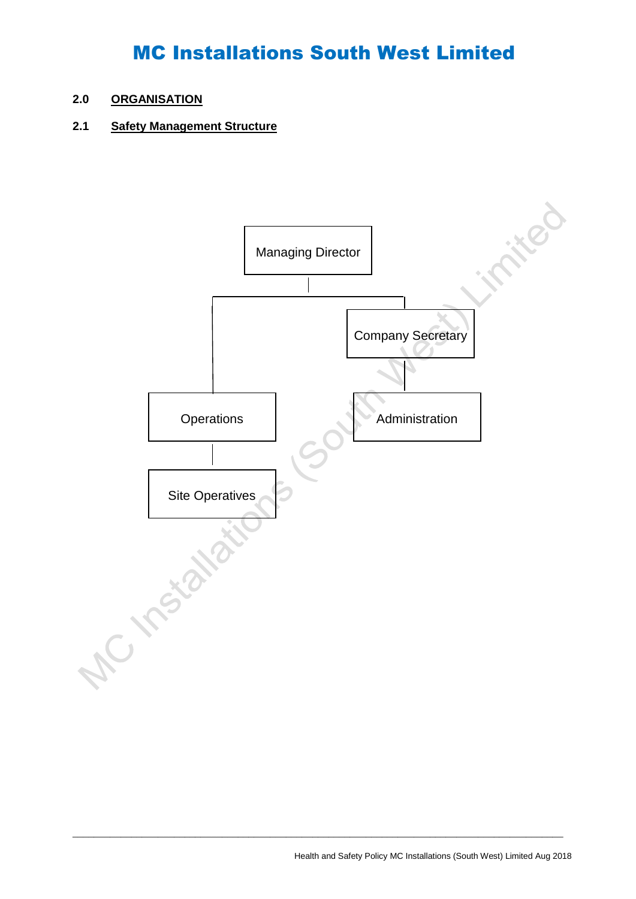### **2.0 ORGANISATION**

## **2.1 Safety Management Structure**

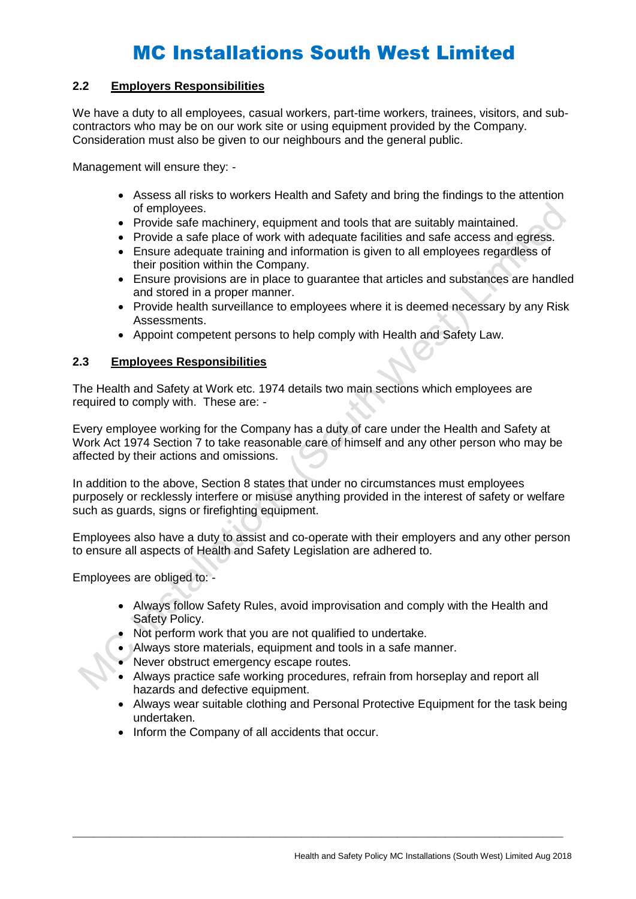### **2.2 Employers Responsibilities**

We have a duty to all employees, casual workers, part-time workers, trainees, visitors, and subcontractors who may be on our work site or using equipment provided by the Company. Consideration must also be given to our neighbours and the general public.

Management will ensure they: -

- Assess all risks to workers Health and Safety and bring the findings to the attention of employees.
- Provide safe machinery, equipment and tools that are suitably maintained.
- Provide a safe place of work with adequate facilities and safe access and egress.
- Ensure adequate training and information is given to all employees regardless of their position within the Company.
- Ensure provisions are in place to guarantee that articles and substances are handled and stored in a proper manner.
- Provide health surveillance to employees where it is deemed necessary by any Risk Assessments.
- Appoint competent persons to help comply with Health and Safety Law.

#### **2.3 Employees Responsibilities**

The Health and Safety at Work etc. 1974 details two main sections which employees are required to comply with. These are: -

Every employee working for the Company has a duty of care under the Health and Safety at Work Act 1974 Section 7 to take reasonable care of himself and any other person who may be affected by their actions and omissions.

In addition to the above, Section 8 states that under no circumstances must employees purposely or recklessly interfere or misuse anything provided in the interest of safety or welfare such as guards, signs or firefighting equipment.

Employees also have a duty to assist and co-operate with their employers and any other person to ensure all aspects of Health and Safety Legislation are adhered to.

Employees are obliged to: -

- Always follow Safety Rules, avoid improvisation and comply with the Health and Safety Policy.
- Not perform work that you are not qualified to undertake.
- Always store materials, equipment and tools in a safe manner.
- Never obstruct emergency escape routes.
- Always practice safe working procedures, refrain from horseplay and report all hazards and defective equipment.

- Always wear suitable clothing and Personal Protective Equipment for the task being undertaken.
- Inform the Company of all accidents that occur.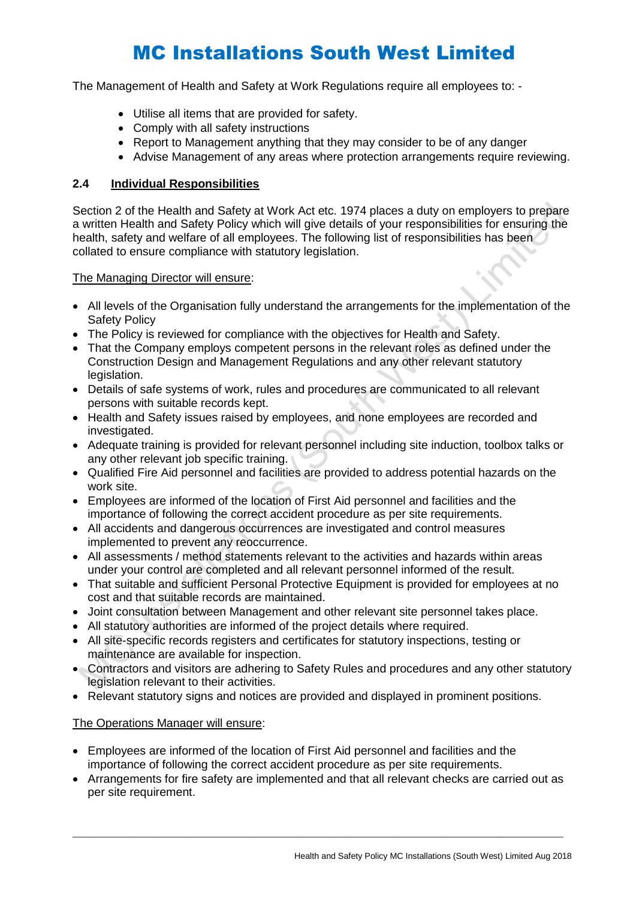The Management of Health and Safety at Work Regulations require all employees to: -

- Utilise all items that are provided for safety.
- Comply with all safety instructions
- Report to Management anything that they may consider to be of any danger
- Advise Management of any areas where protection arrangements require reviewing.

### **2.4 Individual Responsibilities**

Section 2 of the Health and Safety at Work Act etc. 1974 places a duty on employers to prepare a written Health and Safety Policy which will give details of your responsibilities for ensuring the health, safety and welfare of all employees. The following list of responsibilities has been collated to ensure compliance with statutory legislation.

The Managing Director will ensure:

- All levels of the Organisation fully understand the arrangements for the implementation of the Safety Policy
- The Policy is reviewed for compliance with the objectives for Health and Safety.
- That the Company employs competent persons in the relevant roles as defined under the Construction Design and Management Regulations and any other relevant statutory legislation.
- Details of safe systems of work, rules and procedures are communicated to all relevant persons with suitable records kept.
- Health and Safety issues raised by employees, and none employees are recorded and investigated.
- Adequate training is provided for relevant personnel including site induction, toolbox talks or any other relevant job specific training.
- Qualified Fire Aid personnel and facilities are provided to address potential hazards on the work site.
- Employees are informed of the location of First Aid personnel and facilities and the importance of following the correct accident procedure as per site requirements.
- All accidents and dangerous occurrences are investigated and control measures implemented to prevent any reoccurrence.
- All assessments / method statements relevant to the activities and hazards within areas under your control are completed and all relevant personnel informed of the result.
- That suitable and sufficient Personal Protective Equipment is provided for employees at no cost and that suitable records are maintained.
- Joint consultation between Management and other relevant site personnel takes place.
- All statutory authorities are informed of the project details where required.
- All site-specific records registers and certificates for statutory inspections, testing or maintenance are available for inspection.
- Contractors and visitors are adhering to Safety Rules and procedures and any other statutory legislation relevant to their activities.
- Relevant statutory signs and notices are provided and displayed in prominent positions.

#### The Operations Manager will ensure:

- Employees are informed of the location of First Aid personnel and facilities and the importance of following the correct accident procedure as per site requirements.
- Arrangements for fire safety are implemented and that all relevant checks are carried out as per site requirement.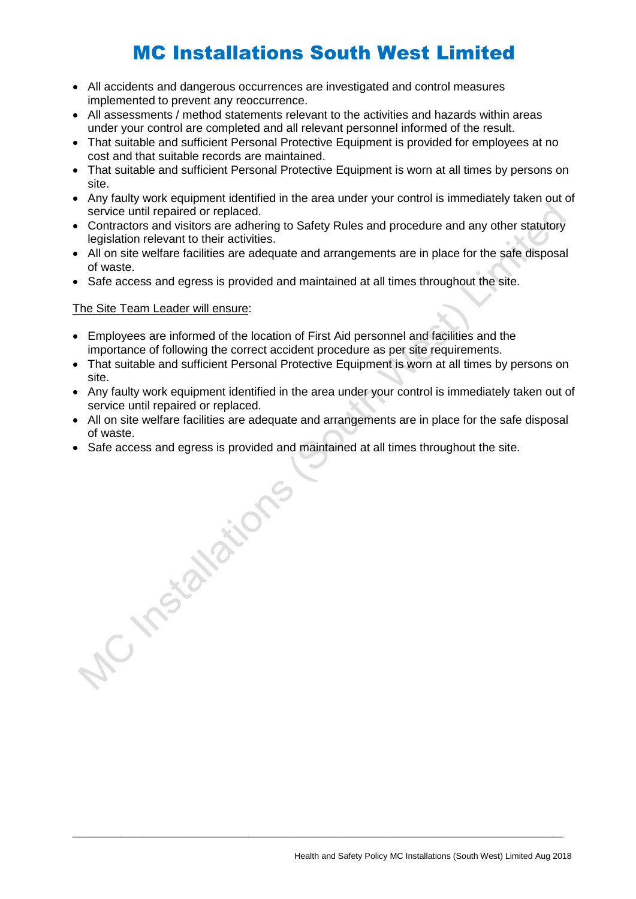- All accidents and dangerous occurrences are investigated and control measures implemented to prevent any reoccurrence.
- All assessments / method statements relevant to the activities and hazards within areas under your control are completed and all relevant personnel informed of the result.
- That suitable and sufficient Personal Protective Equipment is provided for employees at no cost and that suitable records are maintained.
- That suitable and sufficient Personal Protective Equipment is worn at all times by persons on site.
- Any faulty work equipment identified in the area under your control is immediately taken out of service until repaired or replaced.
- Contractors and visitors are adhering to Safety Rules and procedure and any other statutory legislation relevant to their activities.
- All on site welfare facilities are adequate and arrangements are in place for the safe disposal of waste.
- Safe access and egress is provided and maintained at all times throughout the site.

### The Site Team Leader will ensure:

- Employees are informed of the location of First Aid personnel and facilities and the importance of following the correct accident procedure as per site requirements.
- That suitable and sufficient Personal Protective Equipment is worn at all times by persons on site.
- Any faulty work equipment identified in the area under your control is immediately taken out of service until repaired or replaced.
- All on site welfare facilities are adequate and arrangements are in place for the safe disposal of waste.

 $\_$  ,  $\_$  ,  $\_$  ,  $\_$  ,  $\_$  ,  $\_$  ,  $\_$  ,  $\_$  ,  $\_$  ,  $\_$  ,  $\_$  ,  $\_$  ,  $\_$  ,  $\_$  ,  $\_$  ,  $\_$  ,  $\_$  ,  $\_$  ,  $\_$  ,  $\_$  ,  $\_$  ,  $\_$  ,  $\_$  ,  $\_$  ,  $\_$  ,  $\_$  ,  $\_$  ,  $\_$  ,  $\_$  ,  $\_$  ,  $\_$  ,  $\_$  ,  $\_$  ,  $\_$  ,  $\_$  ,  $\_$  ,  $\_$  ,

• Safe access and egress is provided and maintained at all times throughout the site.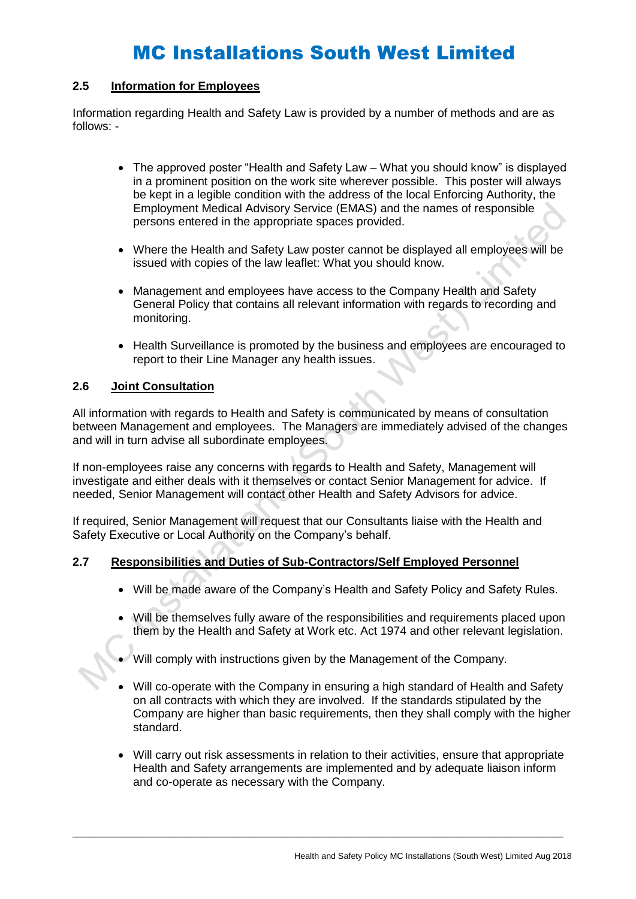#### **2.5 Information for Employees**

Information regarding Health and Safety Law is provided by a number of methods and are as follows: -

- The approved poster "Health and Safety Law What you should know" is displayed in a prominent position on the work site wherever possible. This poster will always be kept in a legible condition with the address of the local Enforcing Authority, the Employment Medical Advisory Service (EMAS) and the names of responsible persons entered in the appropriate spaces provided.
- Where the Health and Safety Law poster cannot be displayed all employees will be issued with copies of the law leaflet: What you should know.
- Management and employees have access to the Company Health and Safety General Policy that contains all relevant information with regards to recording and monitoring.
- Health Surveillance is promoted by the business and employees are encouraged to report to their Line Manager any health issues.

#### **2.6 Joint Consultation**

All information with regards to Health and Safety is communicated by means of consultation between Management and employees. The Managers are immediately advised of the changes and will in turn advise all subordinate employees.

If non-employees raise any concerns with regards to Health and Safety, Management will investigate and either deals with it themselves or contact Senior Management for advice. If needed, Senior Management will contact other Health and Safety Advisors for advice.

If required, Senior Management will request that our Consultants liaise with the Health and Safety Executive or Local Authority on the Company's behalf.

#### **2.7 Responsibilities and Duties of Sub-Contractors/Self Employed Personnel**

- Will be made aware of the Company's Health and Safety Policy and Safety Rules.
- Will be themselves fully aware of the responsibilities and requirements placed upon them by the Health and Safety at Work etc. Act 1974 and other relevant legislation.
- Will comply with instructions given by the Management of the Company.

- Will co-operate with the Company in ensuring a high standard of Health and Safety on all contracts with which they are involved. If the standards stipulated by the Company are higher than basic requirements, then they shall comply with the higher standard.
- Will carry out risk assessments in relation to their activities, ensure that appropriate Health and Safety arrangements are implemented and by adequate liaison inform and co-operate as necessary with the Company.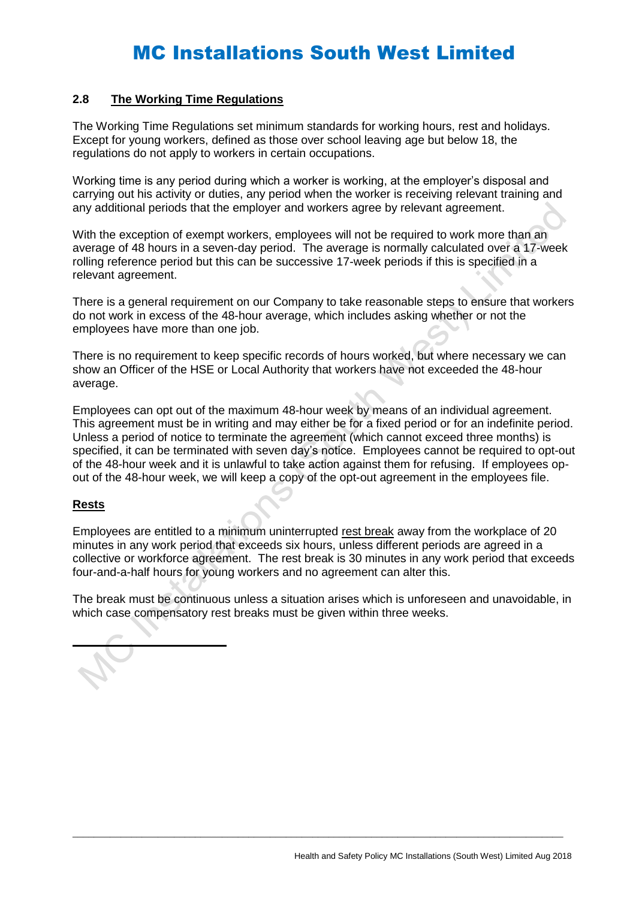#### **2.8 The Working Time Regulations**

The Working Time Regulations set minimum standards for working hours, rest and holidays. Except for young workers, defined as those over school leaving age but below 18, the regulations do not apply to workers in certain occupations.

Working time is any period during which a worker is working, at the employer's disposal and carrying out his activity or duties, any period when the worker is receiving relevant training and any additional periods that the employer and workers agree by relevant agreement.

With the exception of exempt workers, employees will not be required to work more than an average of 48 hours in a seven-day period. The average is normally calculated over a 17-week rolling reference period but this can be successive 17-week periods if this is specified in a relevant agreement.

There is a general requirement on our Company to take reasonable steps to ensure that workers do not work in excess of the 48-hour average, which includes asking whether or not the employees have more than one job.

There is no requirement to keep specific records of hours worked, but where necessary we can show an Officer of the HSE or Local Authority that workers have not exceeded the 48-hour average.

Employees can opt out of the maximum 48-hour week by means of an individual agreement. This agreement must be in writing and may either be for a fixed period or for an indefinite period. Unless a period of notice to terminate the agreement (which cannot exceed three months) is specified, it can be terminated with seven day's notice. Employees cannot be required to opt-out of the 48-hour week and it is unlawful to take action against them for refusing. If employees opout of the 48-hour week, we will keep a copy of the opt-out agreement in the employees file.

#### **Rests**

Employees are entitled to a minimum uninterrupted rest break away from the workplace of 20 minutes in any work period that exceeds six hours, unless different periods are agreed in a collective or workforce agreement. The rest break is 30 minutes in any work period that exceeds four-and-a-half hours for young workers and no agreement can alter this.

The break must be continuous unless a situation arises which is unforeseen and unavoidable, in which case compensatory rest breaks must be given within three weeks.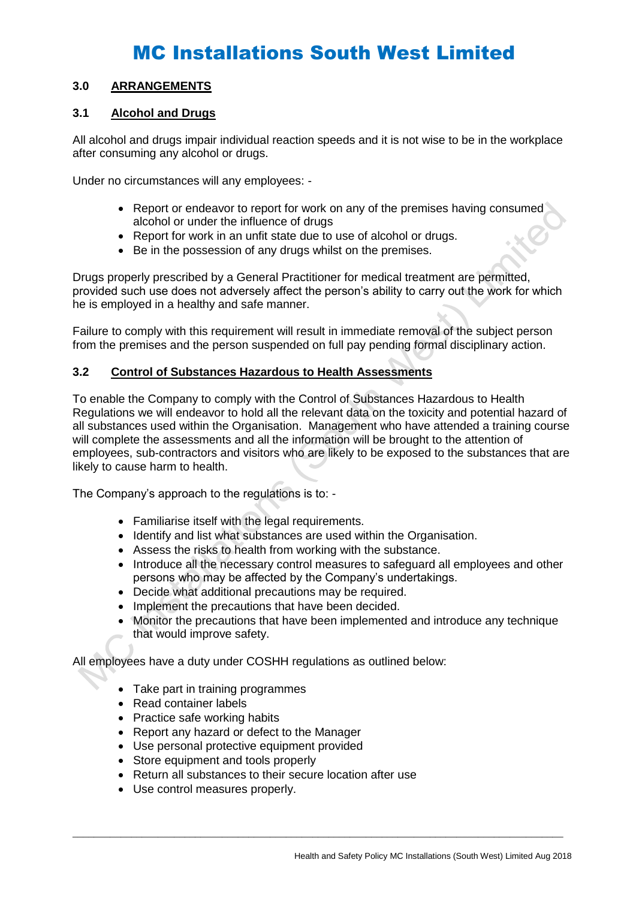### **3.0 ARRANGEMENTS**

### **3.1 Alcohol and Drugs**

All alcohol and drugs impair individual reaction speeds and it is not wise to be in the workplace after consuming any alcohol or drugs.

Under no circumstances will any employees: -

- Report or endeavor to report for work on any of the premises having consumed alcohol or under the influence of drugs
- Report for work in an unfit state due to use of alcohol or drugs.
- Be in the possession of any drugs whilst on the premises.

Drugs properly prescribed by a General Practitioner for medical treatment are permitted, provided such use does not adversely affect the person's ability to carry out the work for which he is employed in a healthy and safe manner.

Failure to comply with this requirement will result in immediate removal of the subject person from the premises and the person suspended on full pay pending formal disciplinary action.

### **3.2 Control of Substances Hazardous to Health Assessments**

To enable the Company to comply with the Control of Substances Hazardous to Health Regulations we will endeavor to hold all the relevant data on the toxicity and potential hazard of all substances used within the Organisation. Management who have attended a training course will complete the assessments and all the information will be brought to the attention of employees, sub-contractors and visitors who are likely to be exposed to the substances that are likely to cause harm to health.

The Company's approach to the regulations is to: -

- Familiarise itself with the legal requirements.
- Identify and list what substances are used within the Organisation.
- Assess the risks to health from working with the substance.
- Introduce all the necessary control measures to safeguard all employees and other persons who may be affected by the Company's undertakings.
- Decide what additional precautions may be required.
- Implement the precautions that have been decided.
- Monitor the precautions that have been implemented and introduce any technique that would improve safety.

All employees have a duty under COSHH regulations as outlined below:

- Take part in training programmes
- Read container labels
- Practice safe working habits
- Report any hazard or defect to the Manager
- Use personal protective equipment provided
- Store equipment and tools properly
- Return all substances to their secure location after use

 $\_$  ,  $\_$  ,  $\_$  ,  $\_$  ,  $\_$  ,  $\_$  ,  $\_$  ,  $\_$  ,  $\_$  ,  $\_$  ,  $\_$  ,  $\_$  ,  $\_$  ,  $\_$  ,  $\_$  ,  $\_$  ,  $\_$  ,  $\_$  ,  $\_$  ,  $\_$  ,  $\_$  ,  $\_$  ,  $\_$  ,  $\_$  ,  $\_$  ,  $\_$  ,  $\_$  ,  $\_$  ,  $\_$  ,  $\_$  ,  $\_$  ,  $\_$  ,  $\_$  ,  $\_$  ,  $\_$  ,  $\_$  ,  $\_$  ,

• Use control measures properly.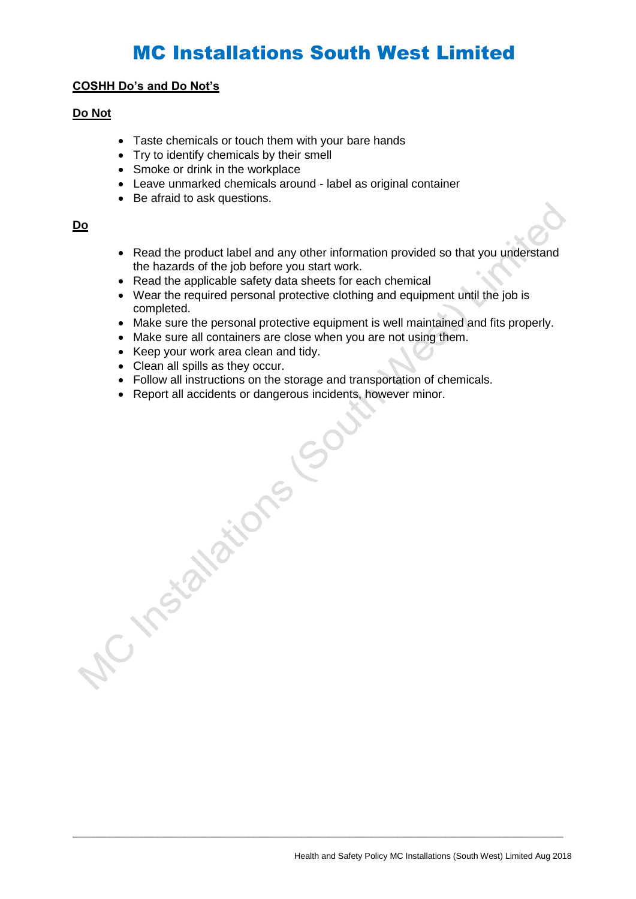#### **COSHH Do's and Do Not's**

### **Do Not**

- Taste chemicals or touch them with your bare hands
- Try to identify chemicals by their smell
- Smoke or drink in the workplace
- Leave unmarked chemicals around label as original container
- Be afraid to ask questions.

#### **Do**

- Read the product label and any other information provided so that you understand the hazards of the job before you start work.
- Read the applicable safety data sheets for each chemical
- Wear the required personal protective clothing and equipment until the job is completed.
- Make sure the personal protective equipment is well maintained and fits properly.
- Make sure all containers are close when you are not using them.
- Keep your work area clean and tidy.
- 
- Follow all instructions on the storage and transportation of chemicals.

 $\_$  ,  $\_$  ,  $\_$  ,  $\_$  ,  $\_$  ,  $\_$  ,  $\_$  ,  $\_$  ,  $\_$  ,  $\_$  ,  $\_$  ,  $\_$  ,  $\_$  ,  $\_$  ,  $\_$  ,  $\_$  ,  $\_$  ,  $\_$  ,  $\_$  ,  $\_$  ,  $\_$  ,  $\_$  ,  $\_$  ,  $\_$  ,  $\_$  ,  $\_$  ,  $\_$  ,  $\_$  ,  $\_$  ,  $\_$  ,  $\_$  ,  $\_$  ,  $\_$  ,  $\_$  ,  $\_$  ,  $\_$  ,  $\_$  ,

• Clean all spills as they occur.<br>• Follow all instructions on the storage a<br>• Report all accidents or dangerous incidents.<br>• Report all accidents or dangerous incidents.<br>• Popular accidents. • Report all accidents or dangerous incidents, however minor.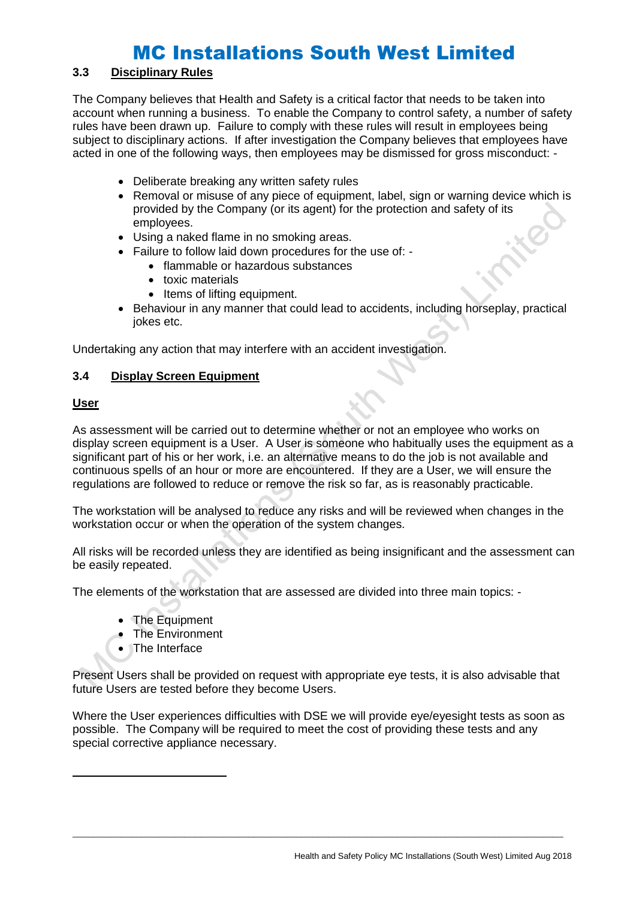## **3.3 Disciplinary Rules**

The Company believes that Health and Safety is a critical factor that needs to be taken into account when running a business. To enable the Company to control safety, a number of safety rules have been drawn up. Failure to comply with these rules will result in employees being subject to disciplinary actions. If after investigation the Company believes that employees have acted in one of the following ways, then employees may be dismissed for gross misconduct: -

- Deliberate breaking any written safety rules
- Removal or misuse of any piece of equipment, label, sign or warning device which is provided by the Company (or its agent) for the protection and safety of its employees.
- Using a naked flame in no smoking areas.
- Failure to follow laid down procedures for the use of:
	- flammable or hazardous substances
	- toxic materials
	- Items of lifting equipment.
- Behaviour in any manner that could lead to accidents, including horseplay, practical jokes etc.

Undertaking any action that may interfere with an accident investigation.

### **3.4 Display Screen Equipment**

### **User**

As assessment will be carried out to determine whether or not an employee who works on display screen equipment is a User. A User is someone who habitually uses the equipment as a significant part of his or her work, i.e. an alternative means to do the job is not available and continuous spells of an hour or more are encountered. If they are a User, we will ensure the regulations are followed to reduce or remove the risk so far, as is reasonably practicable.

The workstation will be analysed to reduce any risks and will be reviewed when changes in the workstation occur or when the operation of the system changes.

All risks will be recorded unless they are identified as being insignificant and the assessment can be easily repeated.

The elements of the workstation that are assessed are divided into three main topics: -

- The Equipment
- The Environment
- **The Interface**

Present Users shall be provided on request with appropriate eye tests, it is also advisable that future Users are tested before they become Users.

Where the User experiences difficulties with DSE we will provide eye/eyesight tests as soon as possible. The Company will be required to meet the cost of providing these tests and any special corrective appliance necessary.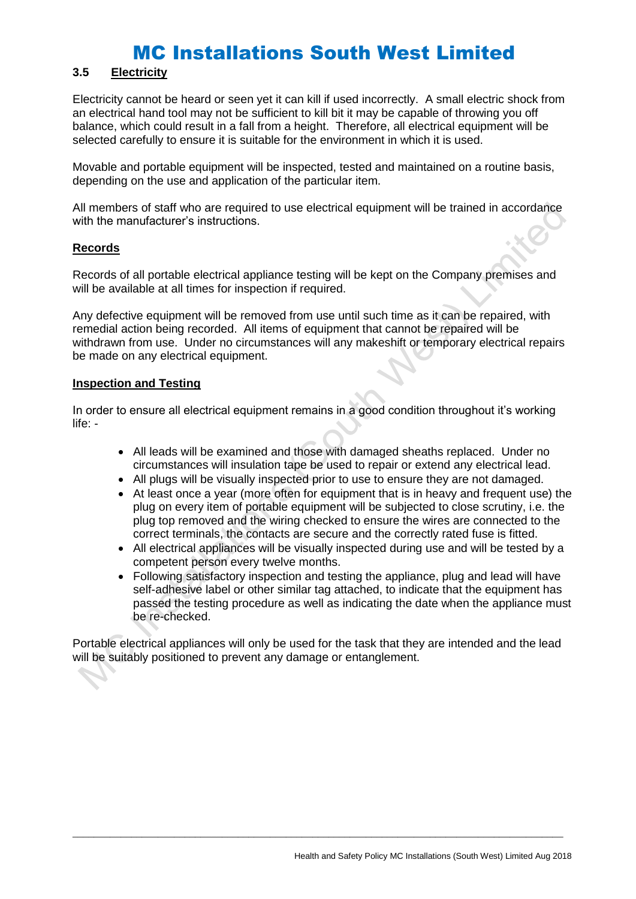## **3.5 Electricity**

Electricity cannot be heard or seen yet it can kill if used incorrectly. A small electric shock from an electrical hand tool may not be sufficient to kill bit it may be capable of throwing you off balance, which could result in a fall from a height. Therefore, all electrical equipment will be selected carefully to ensure it is suitable for the environment in which it is used.

Movable and portable equipment will be inspected, tested and maintained on a routine basis, depending on the use and application of the particular item.

All members of staff who are required to use electrical equipment will be trained in accordance with the manufacturer's instructions.

#### **Records**

Records of all portable electrical appliance testing will be kept on the Company premises and will be available at all times for inspection if required.

Any defective equipment will be removed from use until such time as it can be repaired, with remedial action being recorded. All items of equipment that cannot be repaired will be withdrawn from use. Under no circumstances will any makeshift or temporary electrical repairs be made on any electrical equipment.

#### **Inspection and Testing**

In order to ensure all electrical equipment remains in a good condition throughout it's working life: -

- All leads will be examined and those with damaged sheaths replaced. Under no circumstances will insulation tape be used to repair or extend any electrical lead.
- All plugs will be visually inspected prior to use to ensure they are not damaged.
- At least once a year (more often for equipment that is in heavy and frequent use) the plug on every item of portable equipment will be subjected to close scrutiny, i.e. the plug top removed and the wiring checked to ensure the wires are connected to the correct terminals, the contacts are secure and the correctly rated fuse is fitted.
- All electrical appliances will be visually inspected during use and will be tested by a competent person every twelve months.
- Following satisfactory inspection and testing the appliance, plug and lead will have self-adhesive label or other similar tag attached, to indicate that the equipment has passed the testing procedure as well as indicating the date when the appliance must be re-checked.

Portable electrical appliances will only be used for the task that they are intended and the lead will be suitably positioned to prevent any damage or entanglement.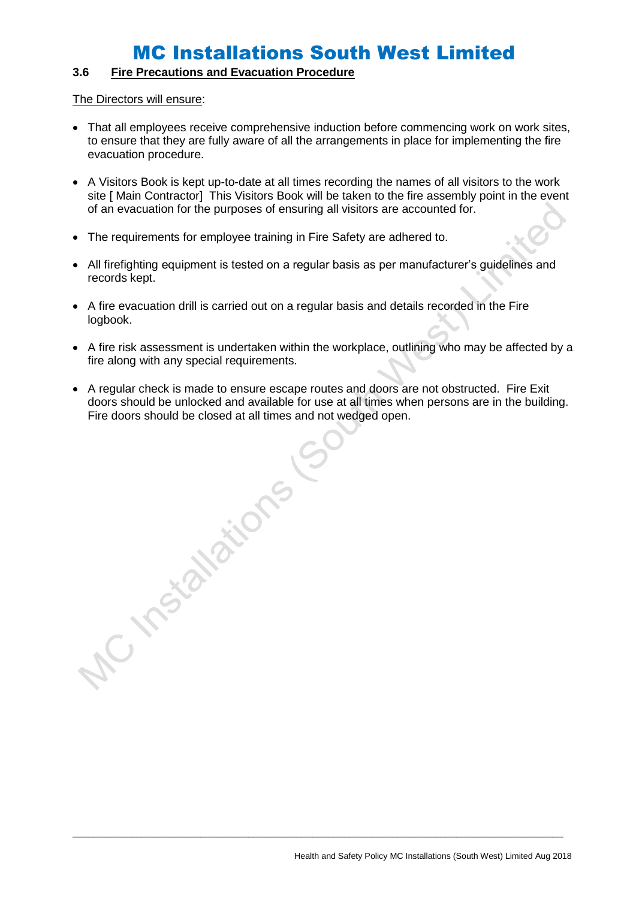## **3.6 Fire Precautions and Evacuation Procedure**

A restablished

The Directors will ensure:

- That all employees receive comprehensive induction before commencing work on work sites, to ensure that they are fully aware of all the arrangements in place for implementing the fire evacuation procedure.
- A Visitors Book is kept up-to-date at all times recording the names of all visitors to the work site [ Main Contractor] This Visitors Book will be taken to the fire assembly point in the event of an evacuation for the purposes of ensuring all visitors are accounted for.
- The requirements for employee training in Fire Safety are adhered to.
- All firefighting equipment is tested on a regular basis as per manufacturer's guidelines and records kept.
- A fire evacuation drill is carried out on a regular basis and details recorded in the Fire logbook.
- A fire risk assessment is undertaken within the workplace, outlining who may be affected by a fire along with any special requirements.
- A regular check is made to ensure escape routes and doors are not obstructed. Fire Exit doors should be unlocked and available for use at all times when persons are in the building. Fire doors should be closed at all times and not wedged open.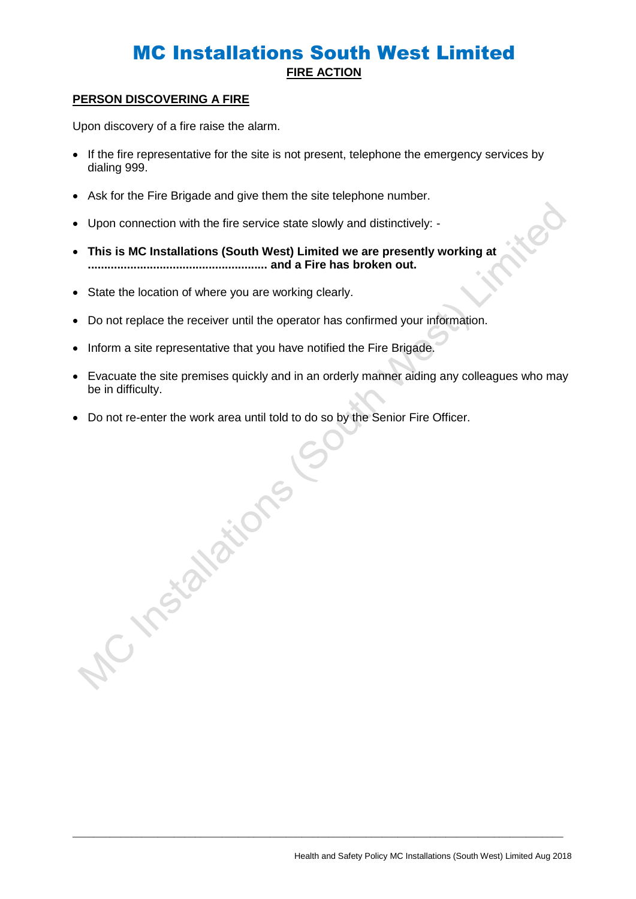## MC Installations South West Limited **FIRE ACTION**

### **PERSON DISCOVERING A FIRE**

Upon discovery of a fire raise the alarm.

- If the fire representative for the site is not present, telephone the emergency services by dialing 999.
- Ask for the Fire Brigade and give them the site telephone number.
- Upon connection with the fire service state slowly and distinctively: -
- **This is MC Installations (South West) Limited we are presently working at ....................................................... and a Fire has broken out.**
- State the location of where you are working clearly.

A ristanzions

- Do not replace the receiver until the operator has confirmed your information.
- Inform a site representative that you have notified the Fire Brigade.
- Evacuate the site premises quickly and in an orderly manner aiding any colleagues who may be in difficulty.

 $\_$  ,  $\_$  ,  $\_$  ,  $\_$  ,  $\_$  ,  $\_$  ,  $\_$  ,  $\_$  ,  $\_$  ,  $\_$  ,  $\_$  ,  $\_$  ,  $\_$  ,  $\_$  ,  $\_$  ,  $\_$  ,  $\_$  ,  $\_$  ,  $\_$  ,  $\_$  ,  $\_$  ,  $\_$  ,  $\_$  ,  $\_$  ,  $\_$  ,  $\_$  ,  $\_$  ,  $\_$  ,  $\_$  ,  $\_$  ,  $\_$  ,  $\_$  ,  $\_$  ,  $\_$  ,  $\_$  ,  $\_$  ,  $\_$  ,

• Do not re-enter the work area until told to do so by the Senior Fire Officer.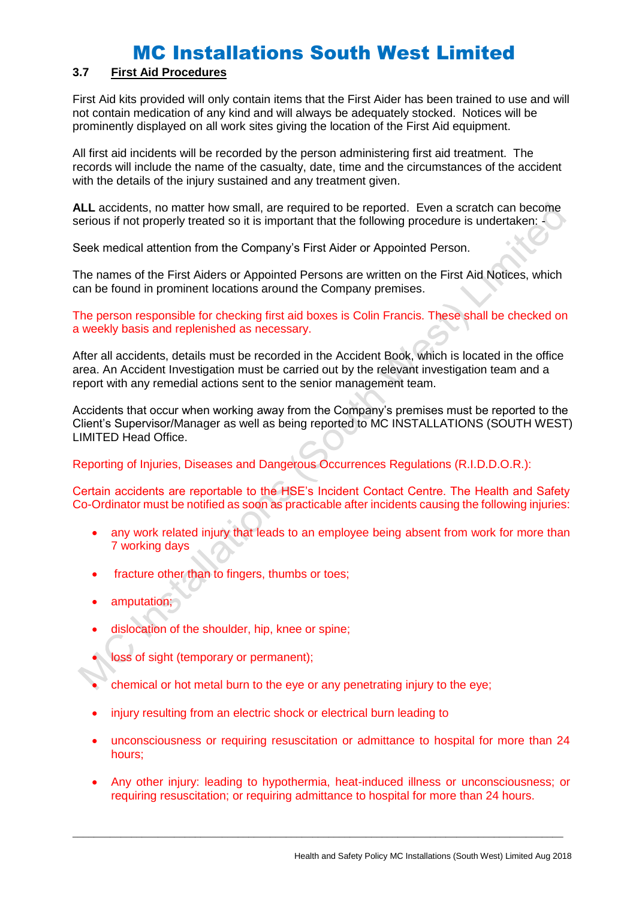### **3.7 First Aid Procedures**

First Aid kits provided will only contain items that the First Aider has been trained to use and will not contain medication of any kind and will always be adequately stocked. Notices will be prominently displayed on all work sites giving the location of the First Aid equipment.

All first aid incidents will be recorded by the person administering first aid treatment. The records will include the name of the casualty, date, time and the circumstances of the accident with the details of the injury sustained and any treatment given.

**ALL** accidents, no matter how small, are required to be reported. Even a scratch can become serious if not properly treated so it is important that the following procedure is undertaken:

Seek medical attention from the Company's First Aider or Appointed Person.

The names of the First Aiders or Appointed Persons are written on the First Aid Notices, which can be found in prominent locations around the Company premises.

The person responsible for checking first aid boxes is Colin Francis. These shall be checked on a weekly basis and replenished as necessary.

After all accidents, details must be recorded in the Accident Book, which is located in the office area. An Accident Investigation must be carried out by the relevant investigation team and a report with any remedial actions sent to the senior management team.

Accidents that occur when working away from the Company's premises must be reported to the Client's Supervisor/Manager as well as being reported to MC INSTALLATIONS (SOUTH WEST) LIMITED Head Office.

Reporting of Injuries, Diseases and Dangerous Occurrences Regulations (R.I.D.D.O.R.):

Certain accidents are reportable to the HSE's Incident Contact Centre. The Health and Safety Co-Ordinator must be notified as soon as practicable after incidents causing the following injuries:

- any work related injury that leads to an employee being absent from work for more than 7 working days
- fracture other than to fingers, thumbs or toes;
- amputation;
- dislocation of the shoulder, hip, knee or spine;
- loss of sight (temporary or permanent);
- chemical or hot metal burn to the eye or any penetrating injury to the eye;
- injury resulting from an electric shock or electrical burn leading to
- unconsciousness or requiring resuscitation or admittance to hospital for more than 24 hours;
- Any other injury: leading to hypothermia, heat-induced illness or unconsciousness; or requiring resuscitation; or requiring admittance to hospital for more than 24 hours.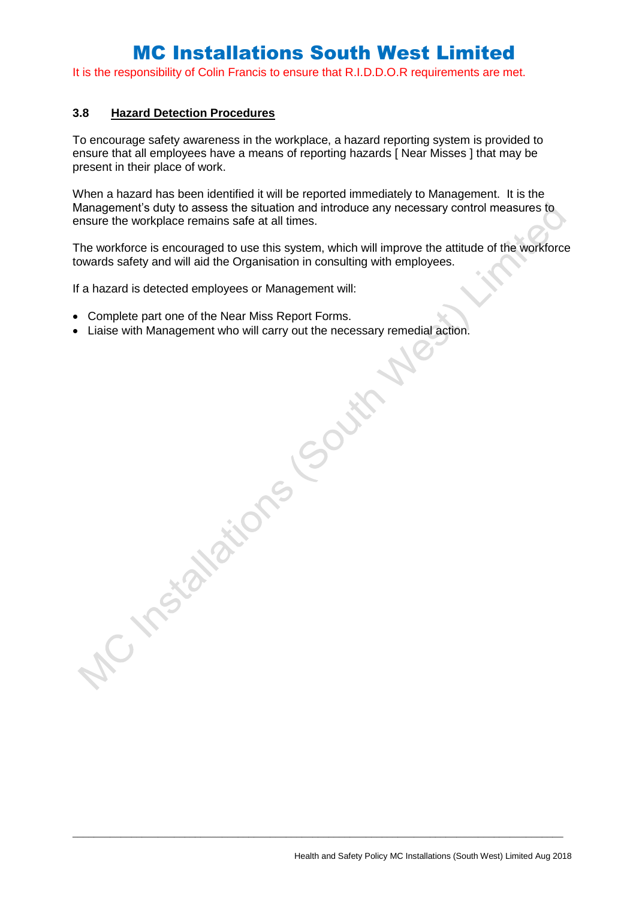It is the responsibility of Colin Francis to ensure that R.I.D.D.O.R requirements are met.

#### **3.8 Hazard Detection Procedures**

To encourage safety awareness in the workplace, a hazard reporting system is provided to ensure that all employees have a means of reporting hazards [ Near Misses ] that may be present in their place of work.

When a hazard has been identified it will be reported immediately to Management. It is the Management's duty to assess the situation and introduce any necessary control measures to ensure the workplace remains safe at all times.

The workforce is encouraged to use this system, which will improve the attitude of the workforce towards safety and will aid the Organisation in consulting with employees.

If a hazard is detected employees or Management will:

• Complete part one of the Near Miss Report Forms.

AC Instalations Gouth

• Liaise with Management who will carry out the necessary remedial action.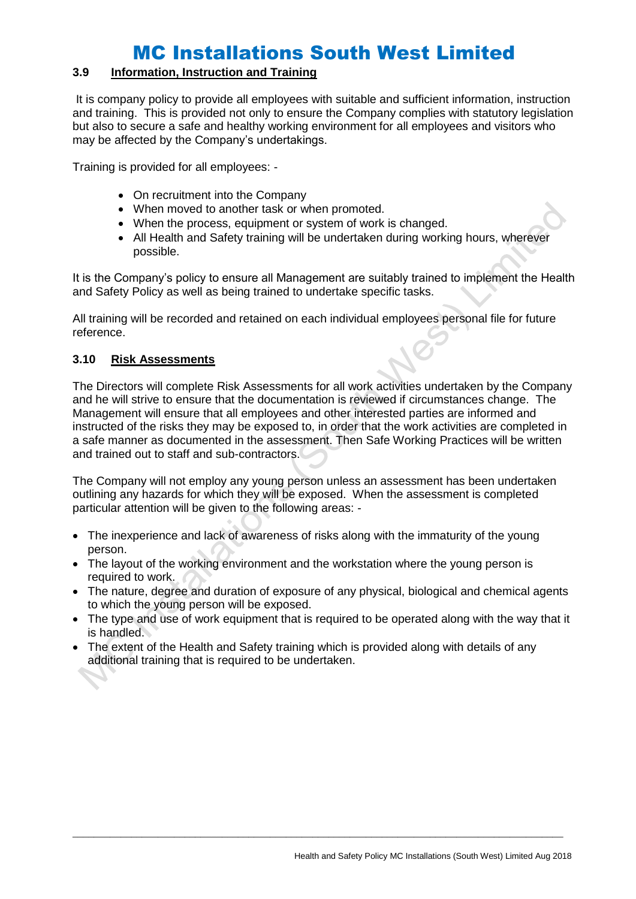### **3.9 Information, Instruction and Training**

It is company policy to provide all employees with suitable and sufficient information, instruction and training. This is provided not only to ensure the Company complies with statutory legislation but also to secure a safe and healthy working environment for all employees and visitors who may be affected by the Company's undertakings.

Training is provided for all employees: -

- On recruitment into the Company
- When moved to another task or when promoted.
- When the process, equipment or system of work is changed.
- All Health and Safety training will be undertaken during working hours, wherever possible.

It is the Company's policy to ensure all Management are suitably trained to implement the Health and Safety Policy as well as being trained to undertake specific tasks.

All training will be recorded and retained on each individual employees personal file for future reference.

### **3.10 Risk Assessments**

The Directors will complete Risk Assessments for all work activities undertaken by the Company and he will strive to ensure that the documentation is reviewed if circumstances change. The Management will ensure that all employees and other interested parties are informed and instructed of the risks they may be exposed to, in order that the work activities are completed in a safe manner as documented in the assessment. Then Safe Working Practices will be written and trained out to staff and sub-contractors.

The Company will not employ any young person unless an assessment has been undertaken outlining any hazards for which they will be exposed. When the assessment is completed particular attention will be given to the following areas: -

- The inexperience and lack of awareness of risks along with the immaturity of the young person.
- The layout of the working environment and the workstation where the young person is required to work.
- The nature, degree and duration of exposure of any physical, biological and chemical agents to which the young person will be exposed.
- The type and use of work equipment that is required to be operated along with the way that it is handled.

 $\_$  ,  $\_$  ,  $\_$  ,  $\_$  ,  $\_$  ,  $\_$  ,  $\_$  ,  $\_$  ,  $\_$  ,  $\_$  ,  $\_$  ,  $\_$  ,  $\_$  ,  $\_$  ,  $\_$  ,  $\_$  ,  $\_$  ,  $\_$  ,  $\_$  ,  $\_$  ,  $\_$  ,  $\_$  ,  $\_$  ,  $\_$  ,  $\_$  ,  $\_$  ,  $\_$  ,  $\_$  ,  $\_$  ,  $\_$  ,  $\_$  ,  $\_$  ,  $\_$  ,  $\_$  ,  $\_$  ,  $\_$  ,  $\_$  ,

• The extent of the Health and Safety training which is provided along with details of any additional training that is required to be undertaken.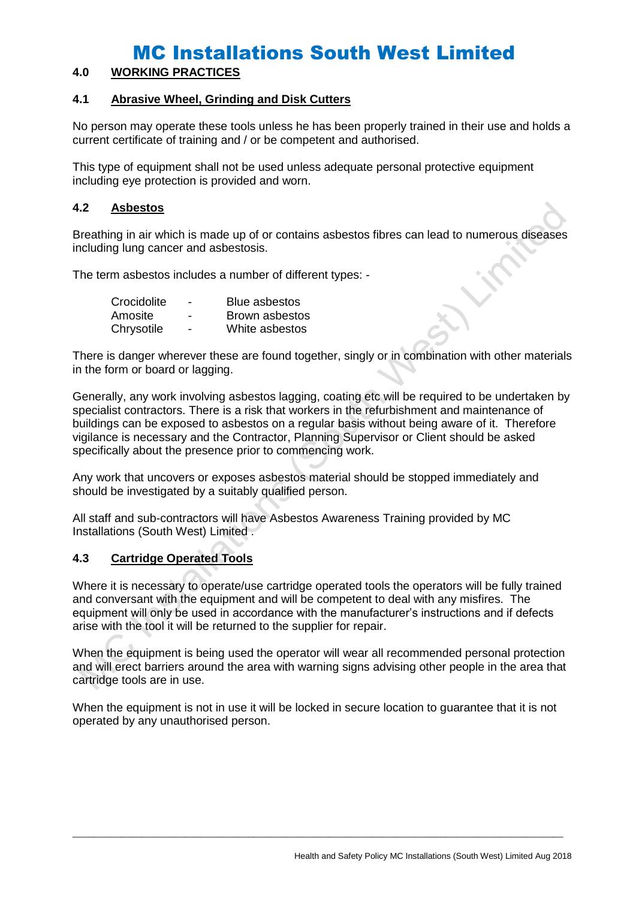### **4.0 WORKING PRACTICES**

#### **4.1 Abrasive Wheel, Grinding and Disk Cutters**

No person may operate these tools unless he has been properly trained in their use and holds a current certificate of training and / or be competent and authorised.

This type of equipment shall not be used unless adequate personal protective equipment including eye protection is provided and worn.

#### **4.2 Asbestos**

Breathing in air which is made up of or contains asbestos fibres can lead to numerous diseases including lung cancer and asbestosis.

The term asbestos includes a number of different types: -

| Crocidolite | - | <b>Blue asbestos</b> |
|-------------|---|----------------------|
| Amosite     | - | Brown asbestos       |
| Chrysotile  | - | White asbestos       |

There is danger wherever these are found together, singly or in combination with other materials in the form or board or lagging.

Generally, any work involving asbestos lagging, coating etc will be required to be undertaken by specialist contractors. There is a risk that workers in the refurbishment and maintenance of buildings can be exposed to asbestos on a regular basis without being aware of it. Therefore vigilance is necessary and the Contractor, Planning Supervisor or Client should be asked specifically about the presence prior to commencing work.

Any work that uncovers or exposes asbestos material should be stopped immediately and should be investigated by a suitably qualified person.

All staff and sub-contractors will have Asbestos Awareness Training provided by MC Installations (South West) Limited .

### **4.3 Cartridge Operated Tools**

Where it is necessary to operate/use cartridge operated tools the operators will be fully trained and conversant with the equipment and will be competent to deal with any misfires. The equipment will only be used in accordance with the manufacturer's instructions and if defects arise with the tool it will be returned to the supplier for repair.

When the equipment is being used the operator will wear all recommended personal protection and will erect barriers around the area with warning signs advising other people in the area that cartridge tools are in use.

When the equipment is not in use it will be locked in secure location to guarantee that it is not operated by any unauthorised person.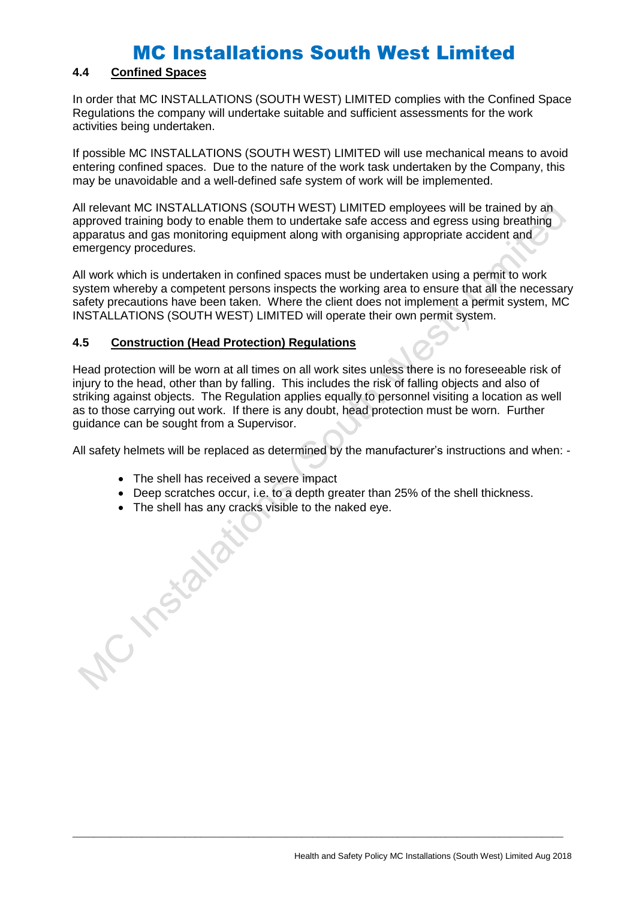## **4.4 Confined Spaces**

In order that MC INSTALLATIONS (SOUTH WEST) LIMITED complies with the Confined Space Regulations the company will undertake suitable and sufficient assessments for the work activities being undertaken.

If possible MC INSTALLATIONS (SOUTH WEST) LIMITED will use mechanical means to avoid entering confined spaces. Due to the nature of the work task undertaken by the Company, this may be unavoidable and a well-defined safe system of work will be implemented.

All relevant MC INSTALLATIONS (SOUTH WEST) LIMITED employees will be trained by an approved training body to enable them to undertake safe access and egress using breathing apparatus and gas monitoring equipment along with organising appropriate accident and emergency procedures.

All work which is undertaken in confined spaces must be undertaken using a permit to work system whereby a competent persons inspects the working area to ensure that all the necessary safety precautions have been taken. Where the client does not implement a permit system, MC INSTALLATIONS (SOUTH WEST) LIMITED will operate their own permit system.

### **4.5 Construction (Head Protection) Regulations**

Head protection will be worn at all times on all work sites unless there is no foreseeable risk of injury to the head, other than by falling. This includes the risk of falling objects and also of striking against objects. The Regulation applies equally to personnel visiting a location as well as to those carrying out work. If there is any doubt, head protection must be worn. Further guidance can be sought from a Supervisor.

All safety helmets will be replaced as determined by the manufacturer's instructions and when: -

- The shell has received a severe impact
- Deep scratches occur, i.e. to a depth greater than 25% of the shell thickness.

 $\_$  ,  $\_$  ,  $\_$  ,  $\_$  ,  $\_$  ,  $\_$  ,  $\_$  ,  $\_$  ,  $\_$  ,  $\_$  ,  $\_$  ,  $\_$  ,  $\_$  ,  $\_$  ,  $\_$  ,  $\_$  ,  $\_$  ,  $\_$  ,  $\_$  ,  $\_$  ,  $\_$  ,  $\_$  ,  $\_$  ,  $\_$  ,  $\_$  ,  $\_$  ,  $\_$  ,  $\_$  ,  $\_$  ,  $\_$  ,  $\_$  ,  $\_$  ,  $\_$  ,  $\_$  ,  $\_$  ,  $\_$  ,  $\_$  ,

• The shell has any cracks visible to the naked eye.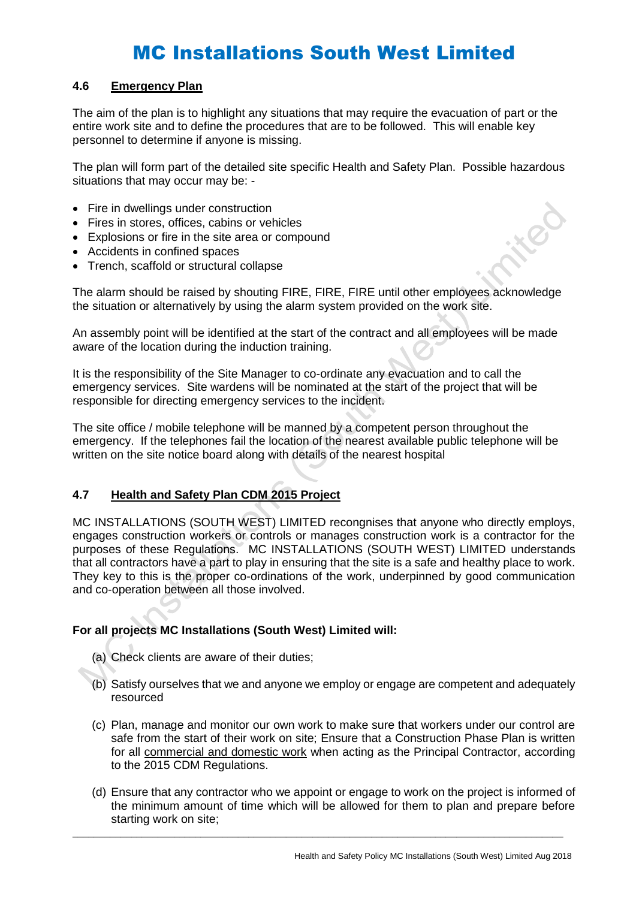#### **4.6 Emergency Plan**

The aim of the plan is to highlight any situations that may require the evacuation of part or the entire work site and to define the procedures that are to be followed. This will enable key personnel to determine if anyone is missing.

The plan will form part of the detailed site specific Health and Safety Plan. Possible hazardous situations that may occur may be: -

- Fire in dwellings under construction
- Fires in stores, offices, cabins or vehicles
- Explosions or fire in the site area or compound
- Accidents in confined spaces
- Trench, scaffold or structural collapse

The alarm should be raised by shouting FIRE, FIRE, FIRE until other employees acknowledge the situation or alternatively by using the alarm system provided on the work site.

An assembly point will be identified at the start of the contract and all employees will be made aware of the location during the induction training.

It is the responsibility of the Site Manager to co-ordinate any evacuation and to call the emergency services. Site wardens will be nominated at the start of the project that will be responsible for directing emergency services to the incident.

The site office / mobile telephone will be manned by a competent person throughout the emergency. If the telephones fail the location of the nearest available public telephone will be written on the site notice board along with details of the nearest hospital

## **4.7 Health and Safety Plan CDM 2015 Project**

MC INSTALLATIONS (SOUTH WEST) LIMITED recongnises that anyone who directly employs, engages construction workers or controls or manages construction work is a contractor for the purposes of these Regulations. MC INSTALLATIONS (SOUTH WEST) LIMITED understands that all contractors have a part to play in ensuring that the site is a safe and healthy place to work. They key to this is the proper co-ordinations of the work, underpinned by good communication and co-operation between all those involved.

#### **For all projects MC Installations (South West) Limited will:**

- (a) Check clients are aware of their duties;
- (b) Satisfy ourselves that we and anyone we employ or engage are competent and adequately resourced
- (c) Plan, manage and monitor our own work to make sure that workers under our control are safe from the start of their work on site; Ensure that a Construction Phase Plan is written for all commercial and domestic work when acting as the Principal Contractor, according to the 2015 CDM Regulations.
- (d) Ensure that any contractor who we appoint or engage to work on the project is informed of the minimum amount of time which will be allowed for them to plan and prepare before starting work on site;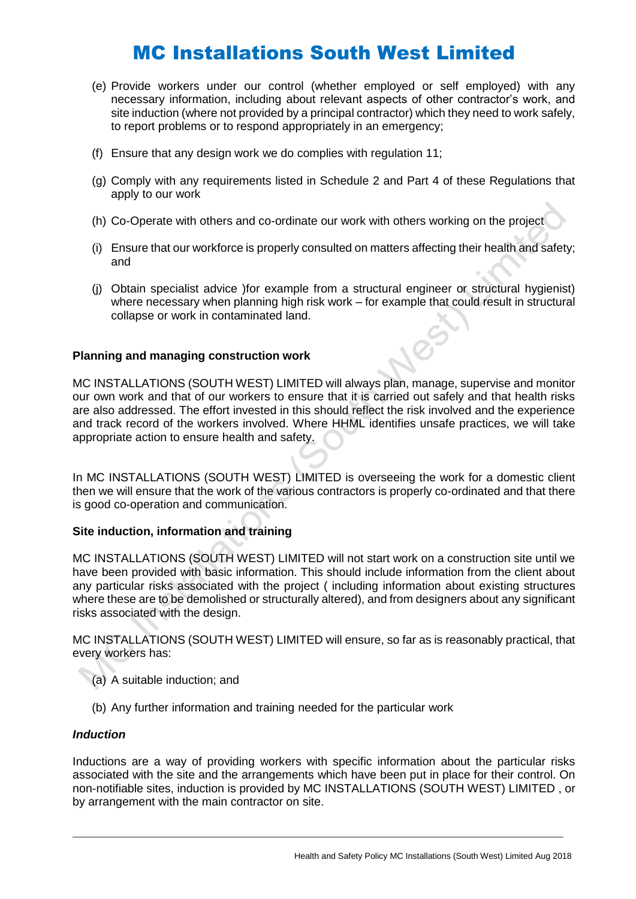- (e) Provide workers under our control (whether employed or self employed) with any necessary information, including about relevant aspects of other contractor's work, and site induction (where not provided by a principal contractor) which they need to work safely, to report problems or to respond appropriately in an emergency;
- (f) Ensure that any design work we do complies with regulation 11;
- (g) Comply with any requirements listed in Schedule 2 and Part 4 of these Regulations that apply to our work
- (h) Co-Operate with others and co-ordinate our work with others working on the project
- (i) Ensure that our workforce is properly consulted on matters affecting their health and safety; and
- (j) Obtain specialist advice )for example from a structural engineer or structural hygienist) where necessary when planning high risk work – for example that could result in structural collapse or work in contaminated land.

#### **Planning and managing construction work**

MC INSTALLATIONS (SOUTH WEST) LIMITED will always plan, manage, supervise and monitor our own work and that of our workers to ensure that it is carried out safely and that health risks are also addressed. The effort invested in this should reflect the risk involved and the experience and track record of the workers involved. Where HHML identifies unsafe practices, we will take appropriate action to ensure health and safety.

In MC INSTALLATIONS (SOUTH WEST) LIMITED is overseeing the work for a domestic client then we will ensure that the work of the various contractors is properly co-ordinated and that there is good co-operation and communication.

#### **Site induction, information and training**

MC INSTALLATIONS (SOUTH WEST) LIMITED will not start work on a construction site until we have been provided with basic information. This should include information from the client about any particular risks associated with the project ( including information about existing structures where these are to be demolished or structurally altered), and from designers about any significant risks associated with the design.

MC INSTALLATIONS (SOUTH WEST) LIMITED will ensure, so far as is reasonably practical, that every workers has:

- (a) A suitable induction; and
- (b) Any further information and training needed for the particular work

#### *Induction*

Inductions are a way of providing workers with specific information about the particular risks associated with the site and the arrangements which have been put in place for their control. On non-notifiable sites, induction is provided by MC INSTALLATIONS (SOUTH WEST) LIMITED , or by arrangement with the main contractor on site.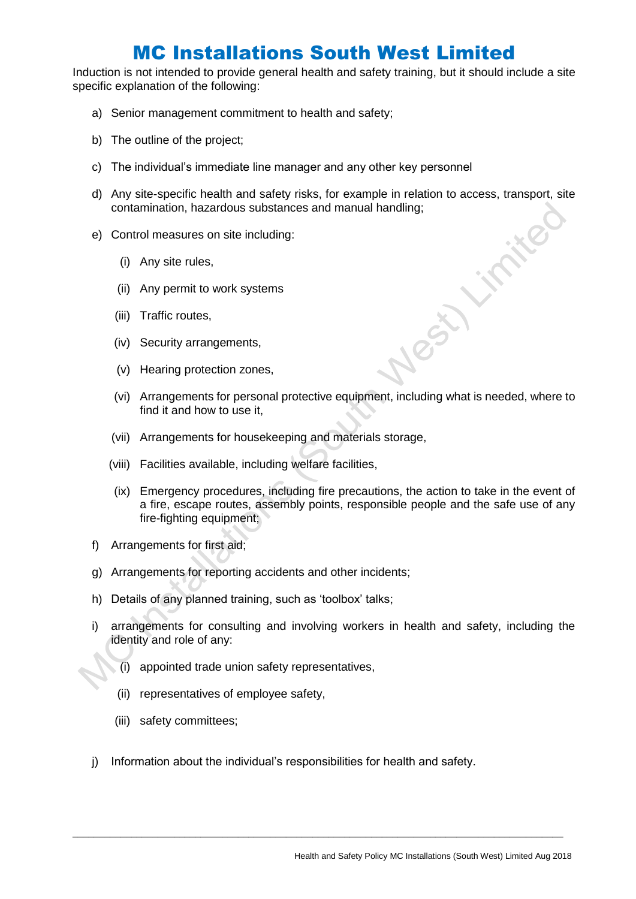Induction is not intended to provide general health and safety training, but it should include a site specific explanation of the following:

- a) Senior management commitment to health and safety;
- b) The outline of the project;
- c) The individual's immediate line manager and any other key personnel
- d) Any site-specific health and safety risks, for example in relation to access, transport, site contamination, hazardous substances and manual handling; **LIFTHE**
- e) Control measures on site including:
	- (i) Any site rules,
	- (ii) Any permit to work systems
	- (iii) Traffic routes,
	- (iv) Security arrangements,
	- (v) Hearing protection zones,
	- (vi) Arrangements for personal protective equipment, including what is needed, where to find it and how to use it,
	- (vii) Arrangements for housekeeping and materials storage,
	- (viii) Facilities available, including welfare facilities,
	- (ix) Emergency procedures, including fire precautions, the action to take in the event of a fire, escape routes, assembly points, responsible people and the safe use of any fire-fighting equipment;
- f) Arrangements for first aid;
- g) Arrangements for reporting accidents and other incidents;
- h) Details of any planned training, such as 'toolbox' talks;
- i) arrangements for consulting and involving workers in health and safety, including the identity and role of any:
	- $(i)$  appointed trade union safety representatives,
	- (ii) representatives of employee safety,
	- (iii) safety committees;
- j) Information about the individual's responsibilities for health and safety.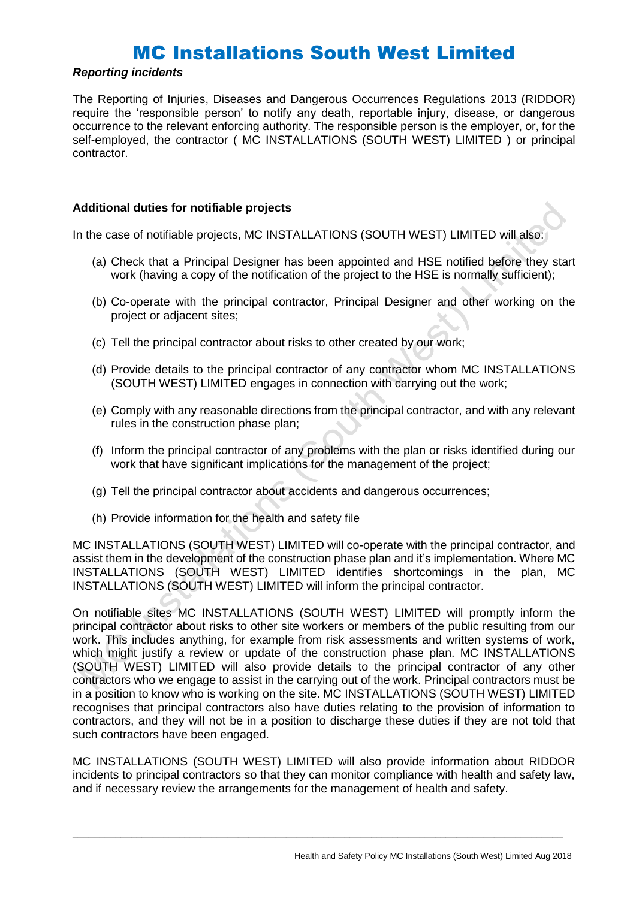#### *Reporting incidents*

The Reporting of Injuries, Diseases and Dangerous Occurrences Regulations 2013 (RIDDOR) require the 'responsible person' to notify any death, reportable injury, disease, or dangerous occurrence to the relevant enforcing authority. The responsible person is the employer, or, for the self-employed, the contractor ( MC INSTALLATIONS (SOUTH WEST) LIMITED ) or principal contractor.

#### **Additional duties for notifiable projects**

In the case of notifiable projects, MC INSTALLATIONS (SOUTH WEST) LIMITED will also:

- (a) Check that a Principal Designer has been appointed and HSE notified before they start work (having a copy of the notification of the project to the HSE is normally sufficient);
- (b) Co-operate with the principal contractor, Principal Designer and other working on the project or adjacent sites;
- (c) Tell the principal contractor about risks to other created by our work;
- (d) Provide details to the principal contractor of any contractor whom MC INSTALLATIONS (SOUTH WEST) LIMITED engages in connection with carrying out the work;
- (e) Comply with any reasonable directions from the principal contractor, and with any relevant rules in the construction phase plan;
- (f) Inform the principal contractor of any problems with the plan or risks identified during our work that have significant implications for the management of the project;
- (g) Tell the principal contractor about accidents and dangerous occurrences;
- (h) Provide information for the health and safety file

MC INSTALLATIONS (SOUTH WEST) LIMITED will co-operate with the principal contractor, and assist them in the development of the construction phase plan and it's implementation. Where MC INSTALLATIONS (SOUTH WEST) LIMITED identifies shortcomings in the plan, MC INSTALLATIONS (SOUTH WEST) LIMITED will inform the principal contractor.

On notifiable sites MC INSTALLATIONS (SOUTH WEST) LIMITED will promptly inform the principal contractor about risks to other site workers or members of the public resulting from our work. This includes anything, for example from risk assessments and written systems of work, which might justify a review or update of the construction phase plan. MC INSTALLATIONS (SOUTH WEST) LIMITED will also provide details to the principal contractor of any other contractors who we engage to assist in the carrying out of the work. Principal contractors must be in a position to know who is working on the site. MC INSTALLATIONS (SOUTH WEST) LIMITED recognises that principal contractors also have duties relating to the provision of information to contractors, and they will not be in a position to discharge these duties if they are not told that such contractors have been engaged.

MC INSTALLATIONS (SOUTH WEST) LIMITED will also provide information about RIDDOR incidents to principal contractors so that they can monitor compliance with health and safety law, and if necessary review the arrangements for the management of health and safety.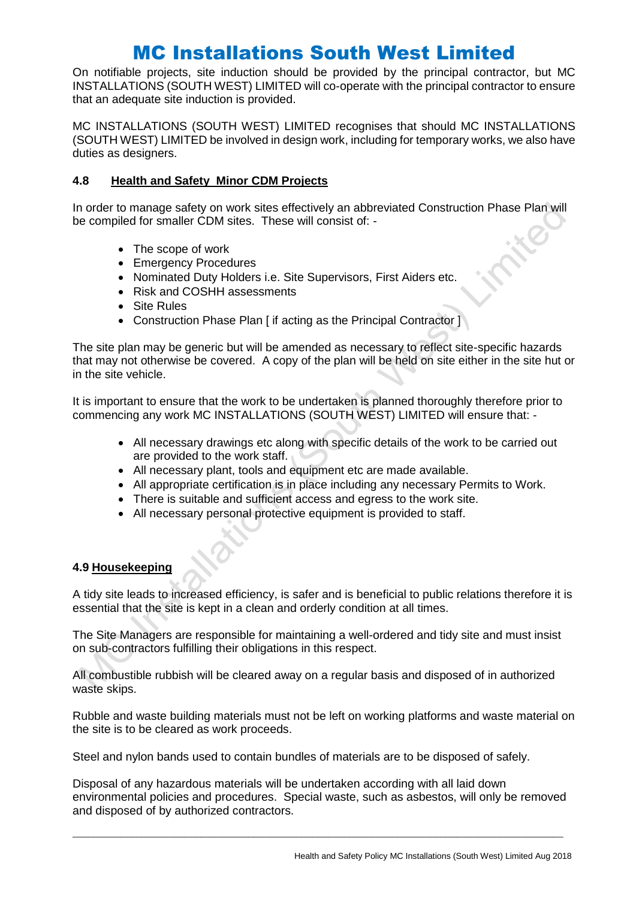On notifiable projects, site induction should be provided by the principal contractor, but MC INSTALLATIONS (SOUTH WEST) LIMITED will co-operate with the principal contractor to ensure that an adequate site induction is provided.

MC INSTALLATIONS (SOUTH WEST) LIMITED recognises that should MC INSTALLATIONS (SOUTH WEST) LIMITED be involved in design work, including for temporary works, we also have duties as designers.

### **4.8 Health and Safety Minor CDM Projects**

In order to manage safety on work sites effectively an abbreviated Construction Phase Plan will be compiled for smaller CDM sites. These will consist of: -

- The scope of work
- Emergency Procedures
- Nominated Duty Holders i.e. Site Supervisors, First Aiders etc.
- Risk and COSHH assessments
- Site Rules
- Construction Phase Plan [ if acting as the Principal Contractor ]

The site plan may be generic but will be amended as necessary to reflect site-specific hazards that may not otherwise be covered. A copy of the plan will be held on site either in the site hut or in the site vehicle.

It is important to ensure that the work to be undertaken is planned thoroughly therefore prior to commencing any work MC INSTALLATIONS (SOUTH WEST) LIMITED will ensure that: -

- All necessary drawings etc along with specific details of the work to be carried out are provided to the work staff.
- All necessary plant, tools and equipment etc are made available.
- All appropriate certification is in place including any necessary Permits to Work.
- There is suitable and sufficient access and egress to the work site.
- All necessary personal protective equipment is provided to staff.

#### **4.9 Housekeeping**

A tidy site leads to increased efficiency, is safer and is beneficial to public relations therefore it is essential that the site is kept in a clean and orderly condition at all times.

The Site Managers are responsible for maintaining a well-ordered and tidy site and must insist on sub-contractors fulfilling their obligations in this respect.

All combustible rubbish will be cleared away on a regular basis and disposed of in authorized waste skips.

Rubble and waste building materials must not be left on working platforms and waste material on the site is to be cleared as work proceeds.

Steel and nylon bands used to contain bundles of materials are to be disposed of safely.

Disposal of any hazardous materials will be undertaken according with all laid down environmental policies and procedures. Special waste, such as asbestos, will only be removed and disposed of by authorized contractors.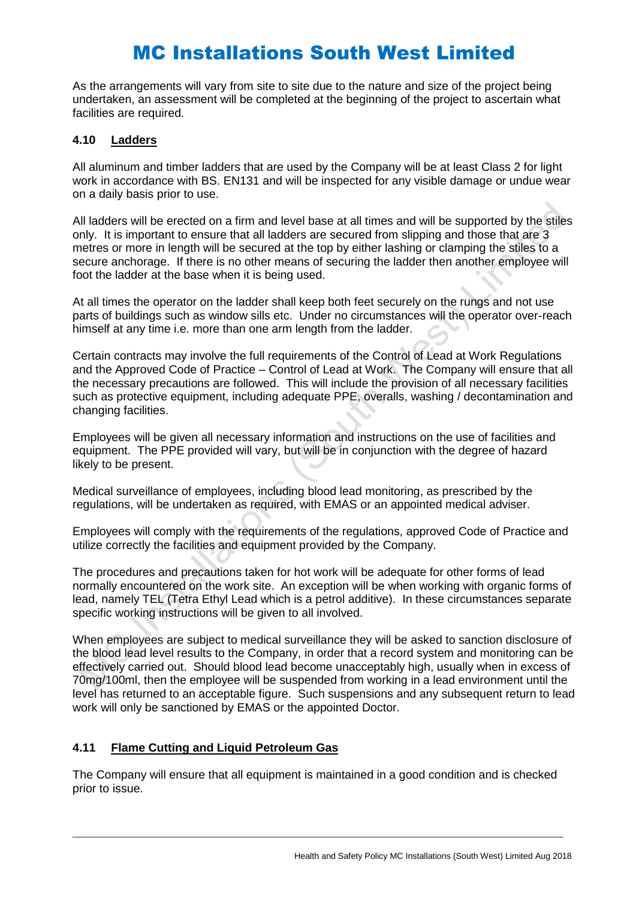As the arrangements will vary from site to site due to the nature and size of the project being undertaken, an assessment will be completed at the beginning of the project to ascertain what facilities are required.

#### **4.10 Ladders**

All aluminum and timber ladders that are used by the Company will be at least Class 2 for light work in accordance with BS. EN131 and will be inspected for any visible damage or undue wear on a daily basis prior to use.

All ladders will be erected on a firm and level base at all times and will be supported by the stiles only. It is important to ensure that all ladders are secured from slipping and those that are 3 metres or more in length will be secured at the top by either lashing or clamping the stiles to a secure anchorage. If there is no other means of securing the ladder then another employee will foot the ladder at the base when it is being used.

At all times the operator on the ladder shall keep both feet securely on the rungs and not use parts of buildings such as window sills etc. Under no circumstances will the operator over-reach himself at any time i.e. more than one arm length from the ladder.

Certain contracts may involve the full requirements of the Control of Lead at Work Regulations and the Approved Code of Practice – Control of Lead at Work. The Company will ensure that all the necessary precautions are followed. This will include the provision of all necessary facilities such as protective equipment, including adequate PPE, overalls, washing / decontamination and changing facilities.

Employees will be given all necessary information and instructions on the use of facilities and equipment. The PPE provided will vary, but will be in conjunction with the degree of hazard likely to be present.

Medical surveillance of employees, including blood lead monitoring, as prescribed by the regulations, will be undertaken as required, with EMAS or an appointed medical adviser.

Employees will comply with the requirements of the regulations, approved Code of Practice and utilize correctly the facilities and equipment provided by the Company.

The procedures and precautions taken for hot work will be adequate for other forms of lead normally encountered on the work site. An exception will be when working with organic forms of lead, namely TEL (Tetra Ethyl Lead which is a petrol additive). In these circumstances separate specific working instructions will be given to all involved.

When employees are subject to medical surveillance they will be asked to sanction disclosure of the blood lead level results to the Company, in order that a record system and monitoring can be effectively carried out. Should blood lead become unacceptably high, usually when in excess of 70mg/100ml, then the employee will be suspended from working in a lead environment until the level has returned to an acceptable figure. Such suspensions and any subsequent return to lead work will only be sanctioned by EMAS or the appointed Doctor.

## **4.11 Flame Cutting and Liquid Petroleum Gas**

The Company will ensure that all equipment is maintained in a good condition and is checked prior to issue.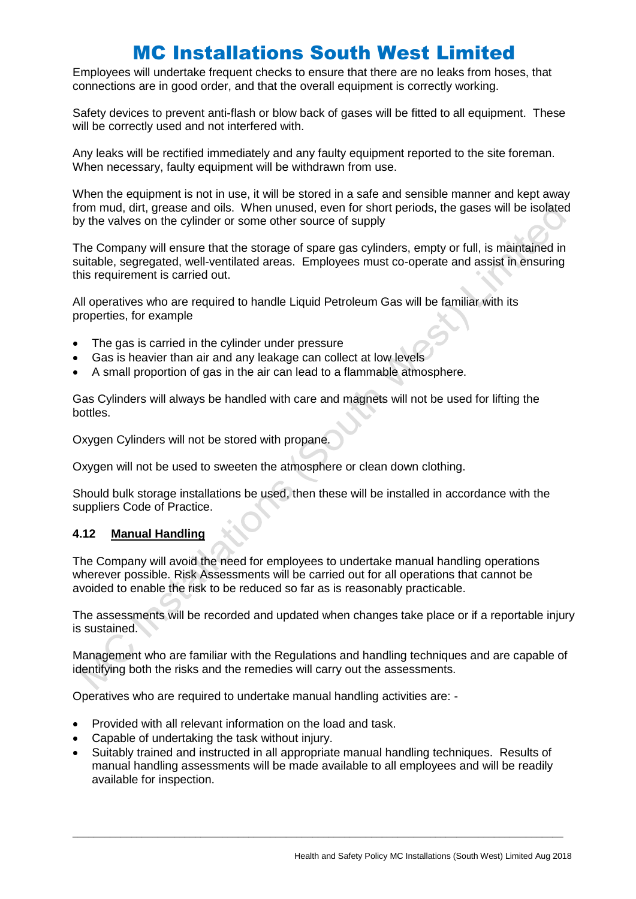Employees will undertake frequent checks to ensure that there are no leaks from hoses, that connections are in good order, and that the overall equipment is correctly working.

Safety devices to prevent anti-flash or blow back of gases will be fitted to all equipment. These will be correctly used and not interfered with.

Any leaks will be rectified immediately and any faulty equipment reported to the site foreman. When necessary, faulty equipment will be withdrawn from use.

When the equipment is not in use, it will be stored in a safe and sensible manner and kept away from mud, dirt, grease and oils. When unused, even for short periods, the gases will be isolated by the valves on the cylinder or some other source of supply

The Company will ensure that the storage of spare gas cylinders, empty or full, is maintained in suitable, segregated, well-ventilated areas. Employees must co-operate and assist in ensuring this requirement is carried out.

All operatives who are required to handle Liquid Petroleum Gas will be familiar with its properties, for example

- The gas is carried in the cylinder under pressure
- Gas is heavier than air and any leakage can collect at low levels
- A small proportion of gas in the air can lead to a flammable atmosphere.

Gas Cylinders will always be handled with care and magnets will not be used for lifting the bottles.

Oxygen Cylinders will not be stored with propane.

Oxygen will not be used to sweeten the atmosphere or clean down clothing.

Should bulk storage installations be used, then these will be installed in accordance with the suppliers Code of Practice.

#### **4.12 Manual Handling**

The Company will avoid the need for employees to undertake manual handling operations wherever possible. Risk Assessments will be carried out for all operations that cannot be avoided to enable the risk to be reduced so far as is reasonably practicable.

The assessments will be recorded and updated when changes take place or if a reportable injury is sustained.

Management who are familiar with the Regulations and handling techniques and are capable of identifying both the risks and the remedies will carry out the assessments.

Operatives who are required to undertake manual handling activities are: -

- Provided with all relevant information on the load and task.
- Capable of undertaking the task without injury.
- Suitably trained and instructed in all appropriate manual handling techniques. Results of manual handling assessments will be made available to all employees and will be readily available for inspection.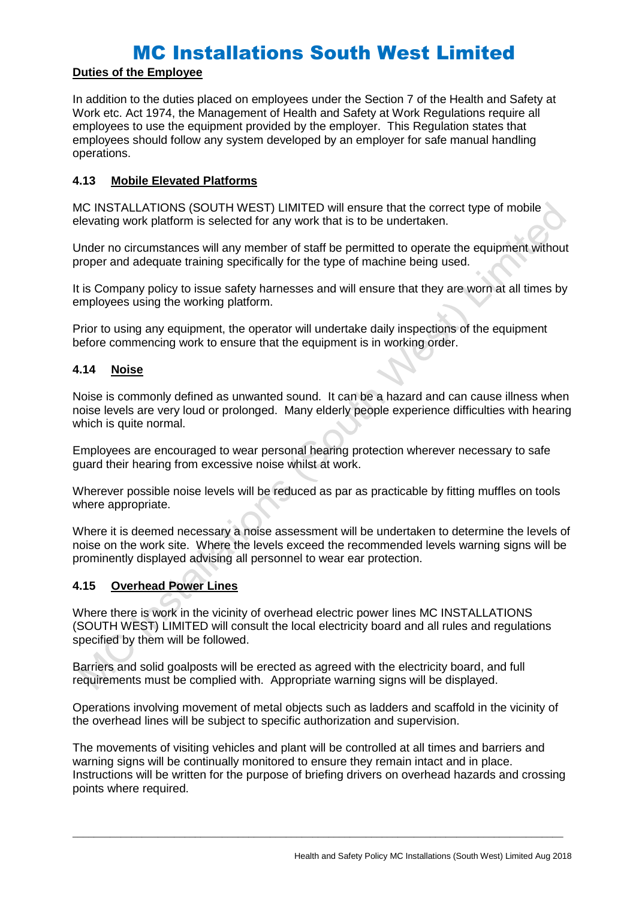## **Duties of the Employee**

In addition to the duties placed on employees under the Section 7 of the Health and Safety at Work etc. Act 1974, the Management of Health and Safety at Work Regulations require all employees to use the equipment provided by the employer. This Regulation states that employees should follow any system developed by an employer for safe manual handling operations.

### **4.13 Mobile Elevated Platforms**

MC INSTALLATIONS (SOUTH WEST) LIMITED will ensure that the correct type of mobile elevating work platform is selected for any work that is to be undertaken.

Under no circumstances will any member of staff be permitted to operate the equipment without proper and adequate training specifically for the type of machine being used.

It is Company policy to issue safety harnesses and will ensure that they are worn at all times by employees using the working platform.

Prior to using any equipment, the operator will undertake daily inspections of the equipment before commencing work to ensure that the equipment is in working order.

#### **4.14 Noise**

Noise is commonly defined as unwanted sound. It can be a hazard and can cause illness when noise levels are very loud or prolonged. Many elderly people experience difficulties with hearing which is quite normal.

Employees are encouraged to wear personal hearing protection wherever necessary to safe guard their hearing from excessive noise whilst at work.

Wherever possible noise levels will be reduced as par as practicable by fitting muffles on tools where appropriate.

Where it is deemed necessary a noise assessment will be undertaken to determine the levels of noise on the work site. Where the levels exceed the recommended levels warning signs will be prominently displayed advising all personnel to wear ear protection.

## **4.15 Overhead Power Lines**

Where there is work in the vicinity of overhead electric power lines MC INSTALLATIONS (SOUTH WEST) LIMITED will consult the local electricity board and all rules and regulations specified by them will be followed.

Barriers and solid goalposts will be erected as agreed with the electricity board, and full requirements must be complied with. Appropriate warning signs will be displayed.

Operations involving movement of metal objects such as ladders and scaffold in the vicinity of the overhead lines will be subject to specific authorization and supervision.

The movements of visiting vehicles and plant will be controlled at all times and barriers and warning signs will be continually monitored to ensure they remain intact and in place. Instructions will be written for the purpose of briefing drivers on overhead hazards and crossing points where required.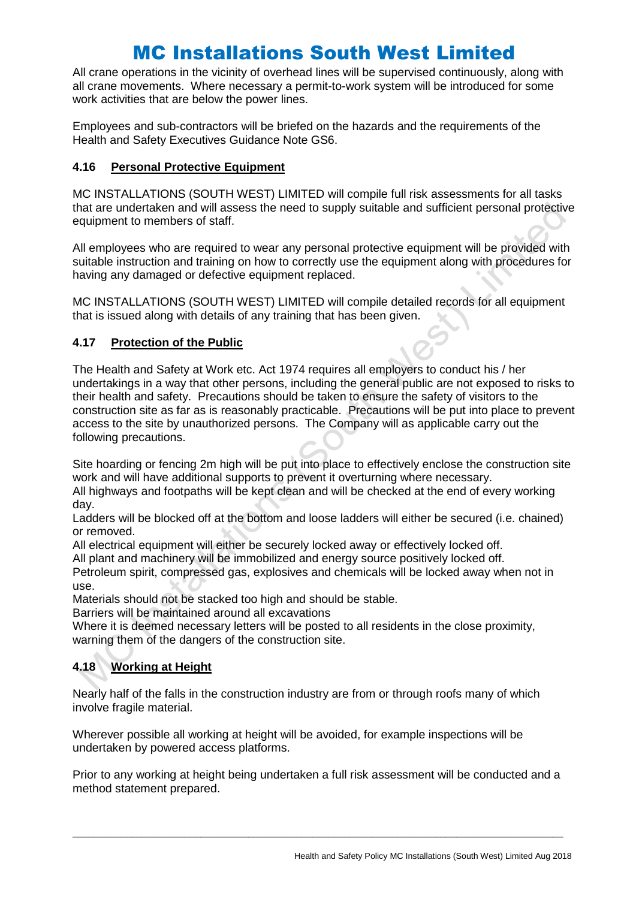All crane operations in the vicinity of overhead lines will be supervised continuously, along with all crane movements. Where necessary a permit-to-work system will be introduced for some work activities that are below the power lines.

Employees and sub-contractors will be briefed on the hazards and the requirements of the Health and Safety Executives Guidance Note GS6.

### **4.16 Personal Protective Equipment**

MC INSTALLATIONS (SOUTH WEST) LIMITED will compile full risk assessments for all tasks that are undertaken and will assess the need to supply suitable and sufficient personal protective equipment to members of staff.

All employees who are required to wear any personal protective equipment will be provided with suitable instruction and training on how to correctly use the equipment along with procedures for having any damaged or defective equipment replaced.

MC INSTALLATIONS (SOUTH WEST) LIMITED will compile detailed records for all equipment that is issued along with details of any training that has been given.

## **4.17 Protection of the Public**

The Health and Safety at Work etc. Act 1974 requires all employers to conduct his / her undertakings in a way that other persons, including the general public are not exposed to risks to their health and safety. Precautions should be taken to ensure the safety of visitors to the construction site as far as is reasonably practicable. Precautions will be put into place to prevent access to the site by unauthorized persons. The Company will as applicable carry out the following precautions.

Site hoarding or fencing 2m high will be put into place to effectively enclose the construction site work and will have additional supports to prevent it overturning where necessary.

All highways and footpaths will be kept clean and will be checked at the end of every working day.

Ladders will be blocked off at the bottom and loose ladders will either be secured (i.e. chained) or removed.

All electrical equipment will either be securely locked away or effectively locked off.

All plant and machinery will be immobilized and energy source positively locked off.

Petroleum spirit, compressed gas, explosives and chemicals will be locked away when not in use.

Materials should not be stacked too high and should be stable.

Barriers will be maintained around all excavations

Where it is deemed necessary letters will be posted to all residents in the close proximity, warning them of the dangers of the construction site.

## **4.18 Working at Height**

Nearly half of the falls in the construction industry are from or through roofs many of which involve fragile material.

Wherever possible all working at height will be avoided, for example inspections will be undertaken by powered access platforms.

Prior to any working at height being undertaken a full risk assessment will be conducted and a method statement prepared.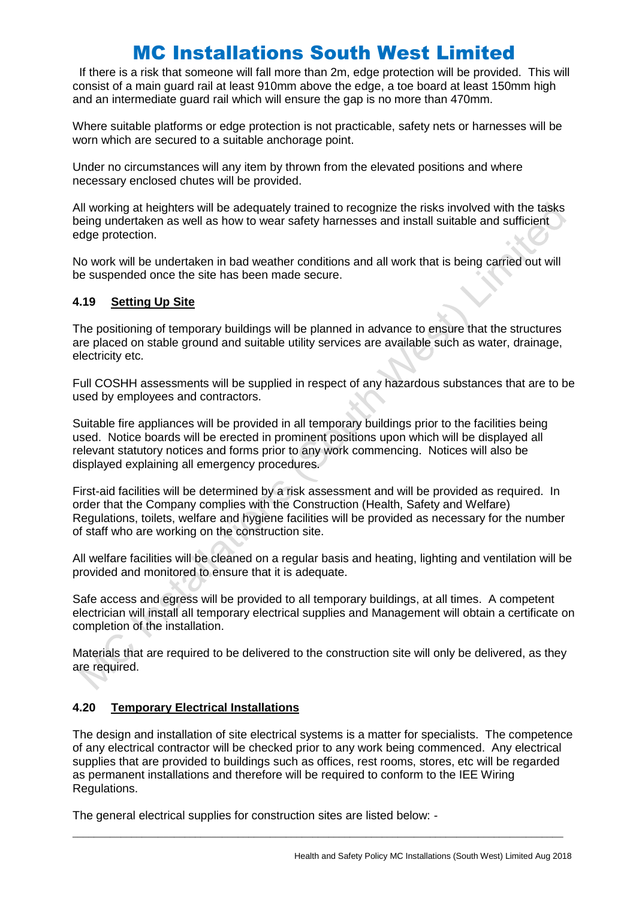If there is a risk that someone will fall more than 2m, edge protection will be provided. This will consist of a main guard rail at least 910mm above the edge, a toe board at least 150mm high and an intermediate guard rail which will ensure the gap is no more than 470mm.

Where suitable platforms or edge protection is not practicable, safety nets or harnesses will be worn which are secured to a suitable anchorage point.

Under no circumstances will any item by thrown from the elevated positions and where necessary enclosed chutes will be provided.

All working at heighters will be adequately trained to recognize the risks involved with the tasks being undertaken as well as how to wear safety harnesses and install suitable and sufficient edge protection.

No work will be undertaken in bad weather conditions and all work that is being carried out will be suspended once the site has been made secure.

#### **4.19 Setting Up Site**

The positioning of temporary buildings will be planned in advance to ensure that the structures are placed on stable ground and suitable utility services are available such as water, drainage, electricity etc.

Full COSHH assessments will be supplied in respect of any hazardous substances that are to be used by employees and contractors.

Suitable fire appliances will be provided in all temporary buildings prior to the facilities being used. Notice boards will be erected in prominent positions upon which will be displayed all relevant statutory notices and forms prior to any work commencing. Notices will also be displayed explaining all emergency procedures.

First-aid facilities will be determined by a risk assessment and will be provided as required. In order that the Company complies with the Construction (Health, Safety and Welfare) Regulations, toilets, welfare and hygiene facilities will be provided as necessary for the number of staff who are working on the construction site.

All welfare facilities will be cleaned on a regular basis and heating, lighting and ventilation will be provided and monitored to ensure that it is adequate.

Safe access and egress will be provided to all temporary buildings, at all times. A competent electrician will install all temporary electrical supplies and Management will obtain a certificate on completion of the installation.

Materials that are required to be delivered to the construction site will only be delivered, as they are required.

## **4.20 Temporary Electrical Installations**

The design and installation of site electrical systems is a matter for specialists. The competence of any electrical contractor will be checked prior to any work being commenced. Any electrical supplies that are provided to buildings such as offices, rest rooms, stores, etc will be regarded as permanent installations and therefore will be required to conform to the IEE Wiring Regulations.

 $\_$  ,  $\_$  ,  $\_$  ,  $\_$  ,  $\_$  ,  $\_$  ,  $\_$  ,  $\_$  ,  $\_$  ,  $\_$  ,  $\_$  ,  $\_$  ,  $\_$  ,  $\_$  ,  $\_$  ,  $\_$  ,  $\_$  ,  $\_$  ,  $\_$  ,  $\_$  ,  $\_$  ,  $\_$  ,  $\_$  ,  $\_$  ,  $\_$  ,  $\_$  ,  $\_$  ,  $\_$  ,  $\_$  ,  $\_$  ,  $\_$  ,  $\_$  ,  $\_$  ,  $\_$  ,  $\_$  ,  $\_$  ,  $\_$  ,

The general electrical supplies for construction sites are listed below: -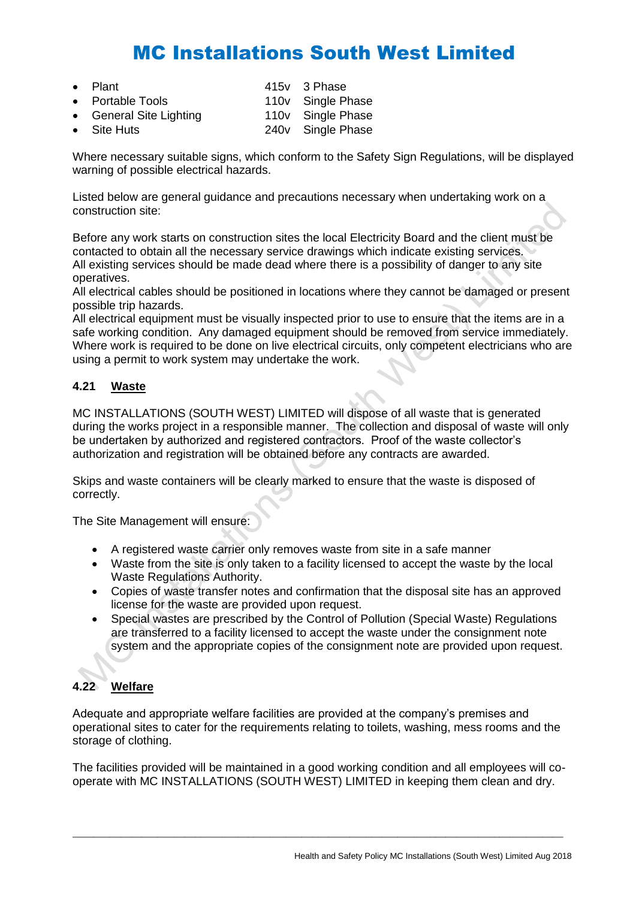Plant **Plant** 415v 3 Phase

|                                                            | 110v Single Phase |
|------------------------------------------------------------|-------------------|
|                                                            | 110v Single Phase |
|                                                            | 240v Single Phase |
| • Portable Tools<br>• General Site Lighting<br>• Site Huts |                   |

Where necessary suitable signs, which conform to the Safety Sign Regulations, will be displayed warning of possible electrical hazards.

Listed below are general guidance and precautions necessary when undertaking work on a construction site:

Before any work starts on construction sites the local Electricity Board and the client must be contacted to obtain all the necessary service drawings which indicate existing services. All existing services should be made dead where there is a possibility of danger to any site operatives.

All electrical cables should be positioned in locations where they cannot be damaged or present possible trip hazards.

All electrical equipment must be visually inspected prior to use to ensure that the items are in a safe working condition. Any damaged equipment should be removed from service immediately. Where work is required to be done on live electrical circuits, only competent electricians who are using a permit to work system may undertake the work.

### **4.21 Waste**

MC INSTALLATIONS (SOUTH WEST) LIMITED will dispose of all waste that is generated during the works project in a responsible manner. The collection and disposal of waste will only be undertaken by authorized and registered contractors. Proof of the waste collector's authorization and registration will be obtained before any contracts are awarded.

Skips and waste containers will be clearly marked to ensure that the waste is disposed of correctly.

The Site Management will ensure:

- A registered waste carrier only removes waste from site in a safe manner
- Waste from the site is only taken to a facility licensed to accept the waste by the local Waste Regulations Authority.
- Copies of waste transfer notes and confirmation that the disposal site has an approved license for the waste are provided upon request.
- Special wastes are prescribed by the Control of Pollution (Special Waste) Regulations are transferred to a facility licensed to accept the waste under the consignment note system and the appropriate copies of the consignment note are provided upon request.

## **4.22 Welfare**

Adequate and appropriate welfare facilities are provided at the company's premises and operational sites to cater for the requirements relating to toilets, washing, mess rooms and the storage of clothing.

The facilities provided will be maintained in a good working condition and all employees will cooperate with MC INSTALLATIONS (SOUTH WEST) LIMITED in keeping them clean and dry.